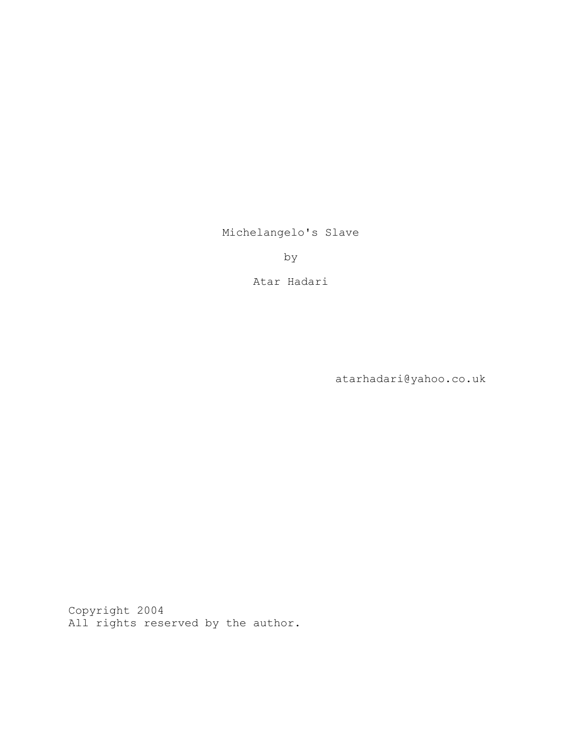Michelangelo's Slave

by

Atar Hadari

atarhadari@yahoo.co.uk

Copyright 2004 All rights reserved by the author.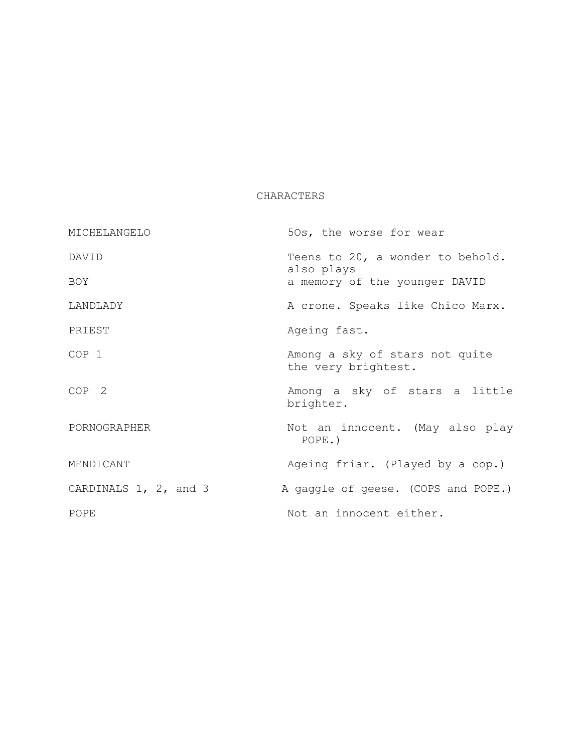# CHARACTERS

| MICHELANGELO          | 50s, the worse for wear                               |
|-----------------------|-------------------------------------------------------|
| DAVID                 | Teens to 20, a wonder to behold.<br>also plays        |
| BOY                   | a memory of the younger DAVID                         |
| LANDLADY              | A crone. Speaks like Chico Marx.                      |
| PRIEST                | Ageing fast.                                          |
| COP 1                 | Among a sky of stars not quite<br>the very brightest. |
| COP <sub>2</sub>      | Among a sky of stars a little<br>brighter.            |
| PORNOGRAPHER          | Not an innocent. (May also play<br>$POPE.$ )          |
| MENDICANT             | Ageing friar. (Played by a cop.)                      |
| CARDINALS 1, 2, and 3 | A gaggle of geese. (COPS and POPE.)                   |
| POPE                  | Not an innocent either.                               |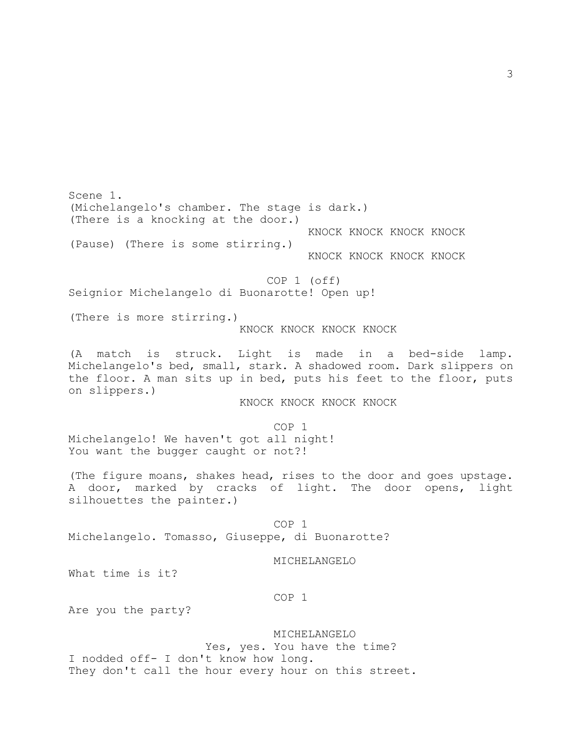Scene 1. (Michelangelo's chamber. The stage is dark.) (There is a knocking at the door.) KNOCK KNOCK KNOCK KNOCK (Pause) (There is some stirring.) KNOCK KNOCK KNOCK KNOCK COP 1 (off) Seignior Michelangelo di Buonarotte! Open up! (There is more stirring.) KNOCK KNOCK KNOCK KNOCK (A match is struck. Light is made in a bed-side lamp. Michelangelo's bed, small, stark. A shadowed room. Dark slippers on the floor. A man sits up in bed, puts his feet to the floor, puts on slippers.) KNOCK KNOCK KNOCK KNOCK COP 1 Michelangelo! We haven't got all night! You want the bugger caught or not?! (The figure moans, shakes head, rises to the door and goes upstage. A door, marked by cracks of light. The door opens, light silhouettes the painter.) COP 1 Michelangelo. Tomasso, Giuseppe, di Buonarotte? MICHELANGELO What time is it? COP 1 Are you the party?

 MICHELANGELO Yes, yes. You have the time? I nodded off- I don't know how long. They don't call the hour every hour on this street.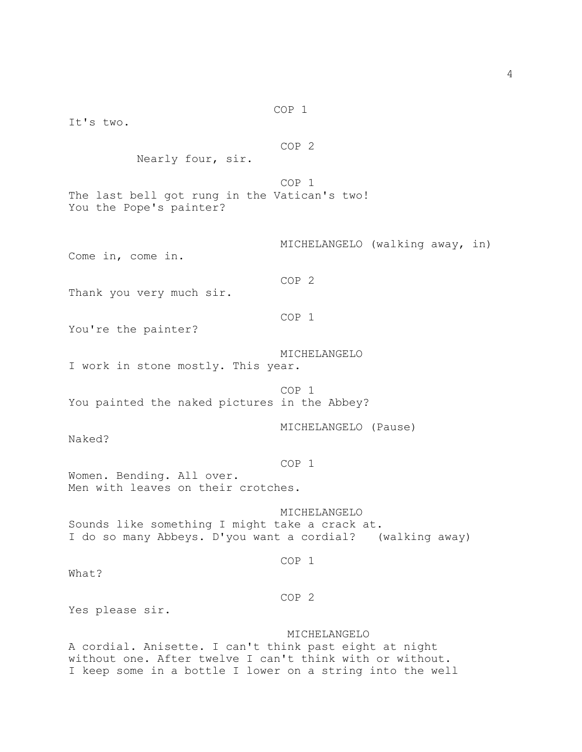COP 2 Nearly four, sir. COP 1 The last bell got rung in the Vatican's two! You the Pope's painter? MICHELANGELO (walking away, in) Come in, come in. COP 2 Thank you very much sir. COP 1 You're the painter? MICHELANGELO I work in stone mostly. This year. COP 1 You painted the naked pictures in the Abbey? MICHELANGELO (Pause) Naked? COP 1 Women. Bending. All over. Men with leaves on their crotches. MICHELANGELO Sounds like something I might take a crack at. I do so many Abbeys. D'you want a cordial? (walking away) COP 1 What? COP 2 Yes please sir. MICHELANGELO A cordial. Anisette. I can't think past eight at night without one. After twelve I can't think with or without. I keep some in a bottle I lower on a string into the well

COP 1

It's two.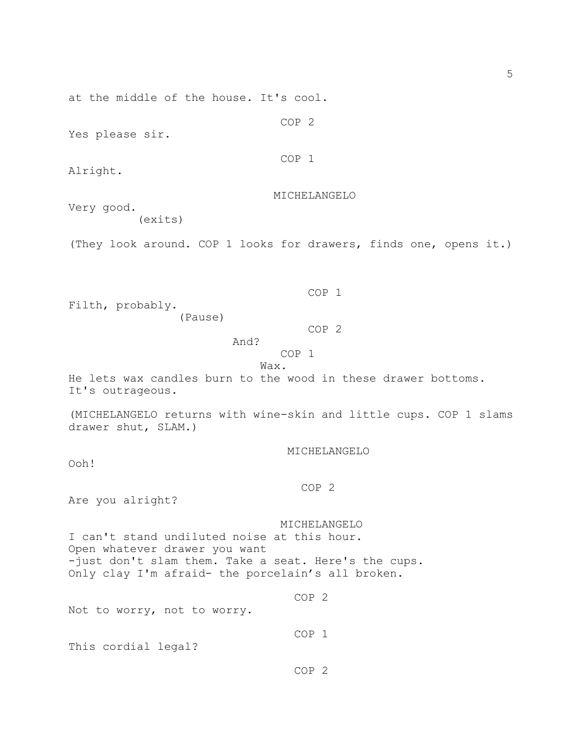at the middle of the house. It's cool.

Yes please sir.

COP 1

COP 2

Alright.

MICHELANGELO

Very good. (exits)

(They look around. COP 1 looks for drawers, finds one, opens it.)

Filth, probably.

(Pause)

COP 2

COP 1

COP 1

Wax.

And?

He lets wax candles burn to the wood in these drawer bottoms. It's outrageous.

(MICHELANGELO returns with wine-skin and little cups. COP 1 slams drawer shut, SLAM.)

MICHELANGELO

Ooh!

COP 2

Are you alright?

 MICHELANGELO I can't stand undiluted noise at this hour. Open whatever drawer you want -just don't slam them. Take a seat. Here's the cups. Only clay I'm afraid- the porcelain's all broken.

Not to worry, not to worry.

COP 1

This cordial legal?

COP 2

COP 2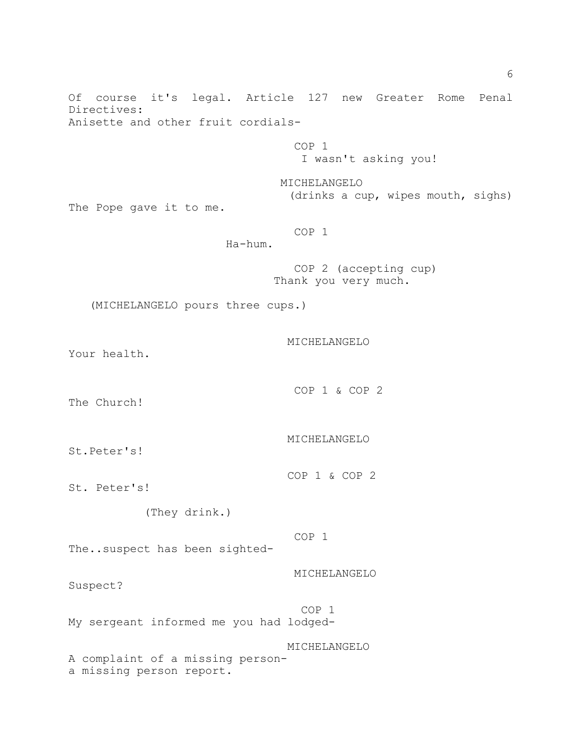Of course it's legal. Article 127 new Greater Rome Penal Directives: Anisette and other fruit cordials- COP 1 I wasn't asking you! MICHELANGELO (drinks a cup, wipes mouth, sighs) The Pope gave it to me. COP 1 Ha-hum. COP 2 (accepting cup) Thank you very much. (MICHELANGELO pours three cups.) MICHELANGELO Your health. COP 1 & COP 2 The Church! MICHELANGELO St.Peter's! COP 1 & COP 2 St. Peter's! (They drink.) COP 1 The..suspect has been sighted- MICHELANGELO Suspect? COP 1 My sergeant informed me you had lodged- MICHELANGELO A complaint of a missing persona missing person report.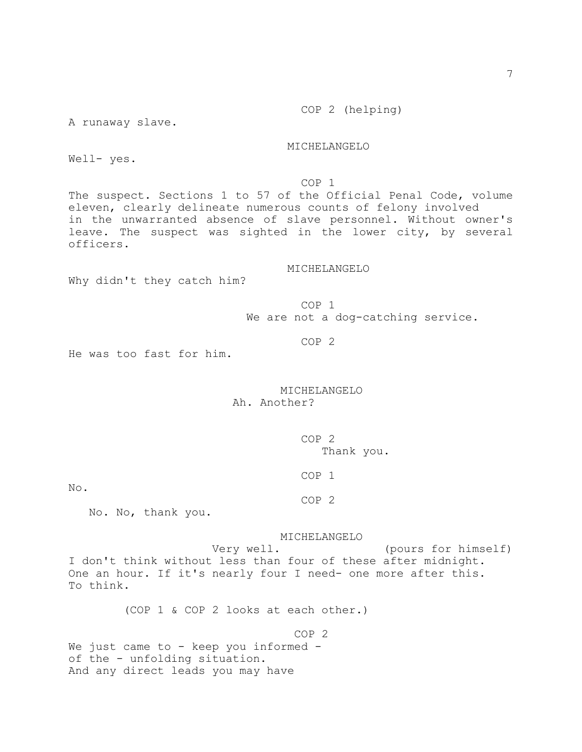A runaway slave.

MICHELANGELO

Well- yes.

COP 1

The suspect. Sections 1 to 57 of the Official Penal Code, volume eleven, clearly delineate numerous counts of felony involved in the unwarranted absence of slave personnel. Without owner's leave. The suspect was sighted in the lower city, by several officers.

# MICHELANGELO

Why didn't they catch him?

 COP 1 We are not a dog-catching service.

COP 2

He was too fast for him.

# MICHELANGELO Ah. Another?

 COP 2 Thank you.

COP 1

No.

COP 2

No. No, thank you.

#### MICHELANGELO

 Very well. (pours for himself) I don't think without less than four of these after midnight. One an hour. If it's nearly four I need- one more after this. To think.

(COP 1 & COP 2 looks at each other.)

 COP 2 We just came to  $-$  keep you informed  $$ of the - unfolding situation. And any direct leads you may have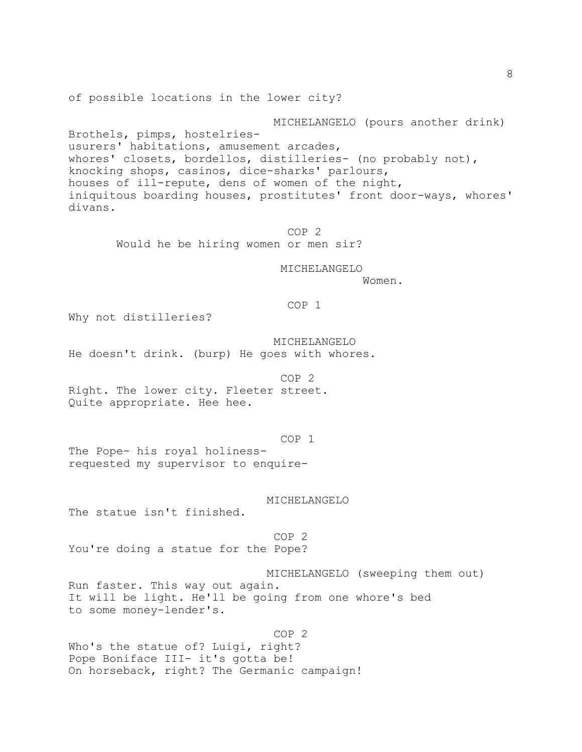of possible locations in the lower city?

 MICHELANGELO (pours another drink) Brothels, pimps, hostelriesusurers' habitations, amusement arcades, whores' closets, bordellos, distilleries- (no probably not), knocking shops, casinos, dice-sharks' parlours, houses of ill-repute, dens of women of the night, iniquitous boarding houses, prostitutes' front door-ways, whores' divans.

> COP 2 Would he be hiring women or men sir?

> > MICHELANGELO

Women.

# COP 1

Why not distilleries?

MICHELANGELO

He doesn't drink. (burp) He goes with whores.

 COP 2 Right. The lower city. Fleeter street. Quite appropriate. Hee hee.

COP 1

The Pope- his royal holinessrequested my supervisor to enquire-

MICHELANGELO

The statue isn't finished.

 COP 2 You're doing a statue for the Pope?

 MICHELANGELO (sweeping them out) Run faster. This way out again. It will be light. He'll be going from one whore's bed to some money-lender's.

 COP 2 Who's the statue of? Luigi, right? Pope Boniface III- it's gotta be! On horseback, right? The Germanic campaign!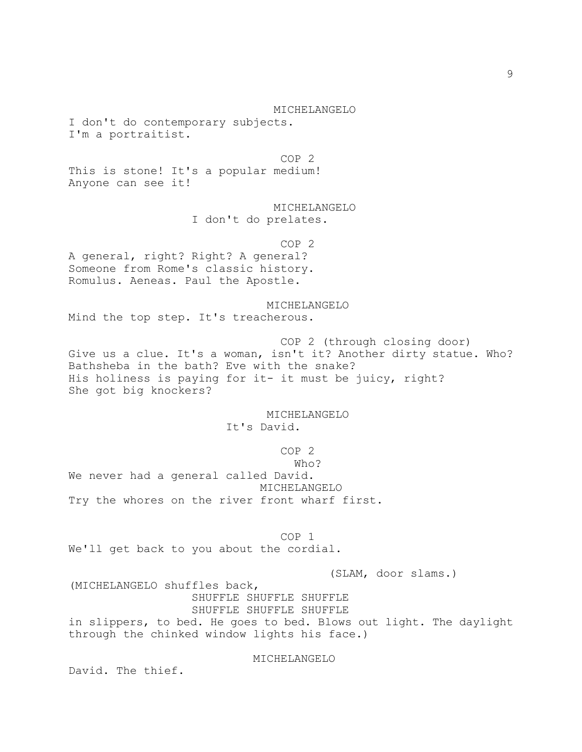MICHELANGELO I don't do contemporary subjects. I'm a portraitist.

 COP 2 This is stone! It's a popular medium! Anyone can see it!

> MICHELANGELO I don't do prelates.

 COP 2 A general, right? Right? A general? Someone from Rome's classic history. Romulus. Aeneas. Paul the Apostle.

 MICHELANGELO Mind the top step. It's treacherous.

 COP 2 (through closing door) Give us a clue. It's a woman, isn't it? Another dirty statue. Who? Bathsheba in the bath? Eve with the snake? His holiness is paying for it- it must be juicy, right? She got big knockers?

> MICHELANGELO It's David.

> > COP 2

who? We never had a general called David. MICHELANGELO Try the whores on the river front wharf first.

 COP 1 We'll get back to you about the cordial.

(SLAM, door slams.)

(MICHELANGELO shuffles back, SHUFFLE SHUFFLE SHUFFLE SHUFFLE SHUFFLE SHUFFLE in slippers, to bed. He goes to bed. Blows out light. The daylight through the chinked window lights his face.)

MICHELANGELO

David. The thief.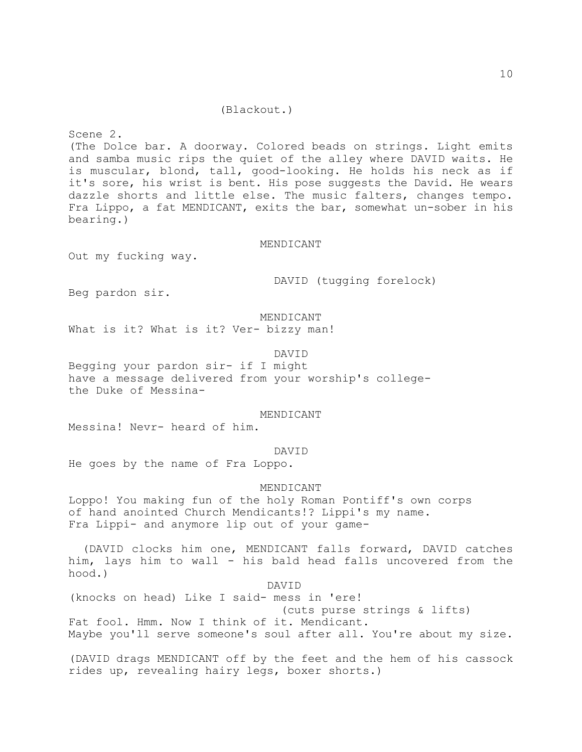# (Blackout.)

Scene 2. (The Dolce bar. A doorway. Colored beads on strings. Light emits and samba music rips the quiet of the alley where DAVID waits. He is muscular, blond, tall, good-looking. He holds his neck as if it's sore, his wrist is bent. His pose suggests the David. He wears dazzle shorts and little else. The music falters, changes tempo. Fra Lippo, a fat MENDICANT, exits the bar, somewhat un-sober in his bearing.)

#### MENDICANT

Out my fucking way.

DAVID (tugging forelock)

Beg pardon sir.

### MENDICANT

What is it? What is it? Ver- bizzy man!

#### DAVID

Begging your pardon sir- if I might have a message delivered from your worship's collegethe Duke of Messina-

## MENDICANT

Messina! Nevr- heard of him.

#### DAVID

He goes by the name of Fra Loppo.

## MENDICANT

Loppo! You making fun of the holy Roman Pontiff's own corps of hand anointed Church Mendicants!? Lippi's my name. Fra Lippi- and anymore lip out of your game-

 (DAVID clocks him one, MENDICANT falls forward, DAVID catches him, lays him to wall - his bald head falls uncovered from the hood.)

 DAVID (knocks on head) Like I said- mess in 'ere! (cuts purse strings & lifts) Fat fool. Hmm. Now I think of it. Mendicant. Maybe you'll serve someone's soul after all. You're about my size.

(DAVID drags MENDICANT off by the feet and the hem of his cassock rides up, revealing hairy legs, boxer shorts.)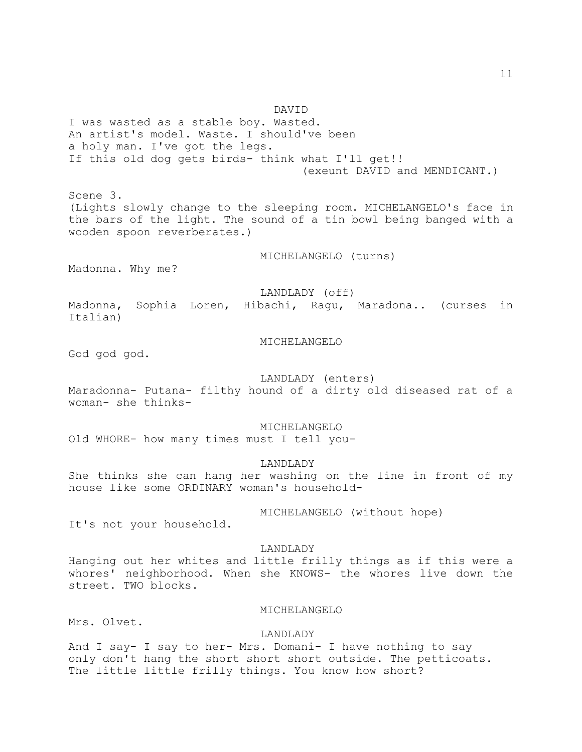DAVID I was wasted as a stable boy. Wasted. An artist's model. Waste. I should've been a holy man. I've got the legs. If this old dog gets birds- think what I'll get!! (exeunt DAVID and MENDICANT.) Scene 3. (Lights slowly change to the sleeping room. MICHELANGELO's face in the bars of the light. The sound of a tin bowl being banged with a wooden spoon reverberates.) MICHELANGELO (turns) Madonna. Why me? LANDLADY (off) Madonna, Sophia Loren, Hibachi, Ragu, Maradona.. (curses in Italian) MICHELANGELO God god. LANDLADY (enters) Maradonna- Putana- filthy hound of a dirty old diseased rat of a woman- she thinks- MICHELANGELO Old WHORE- how many times must I tell you- LANDLADY She thinks she can hang her washing on the line in front of my house like some ORDINARY woman's household- MICHELANGELO (without hope) It's not your household. LANDLADY Hanging out her whites and little frilly things as if this were a whores' neighborhood. When she KNOWS- the whores live down the

MICHELANGELO

Mrs. Olvet.

street. TWO blocks.

LANDLADY

And I say- I say to her- Mrs. Domani- I have nothing to say only don't hang the short short short outside. The petticoats. The little little frilly things. You know how short?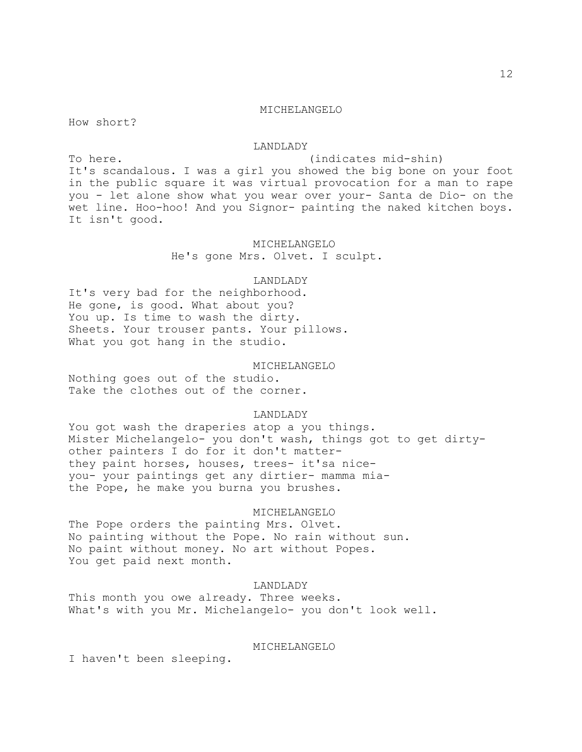#### MICHELANGELO

How short?

## LANDLADY

To here. (indicates mid-shin) It's scandalous. I was a girl you showed the big bone on your foot in the public square it was virtual provocation for a man to rape you - let alone show what you wear over your- Santa de Dio- on the wet line. Hoo-hoo! And you Signor- painting the naked kitchen boys. It isn't good.

# MICHELANGELO

He's gone Mrs. Olvet. I sculpt.

# LANDLADY

It's very bad for the neighborhood. He gone, is good. What about you? You up. Is time to wash the dirty. Sheets. Your trouser pants. Your pillows. What you got hang in the studio.

# MICHELANGELO

Nothing goes out of the studio. Take the clothes out of the corner.

## LANDLADY

You got wash the draperies atop a you things. Mister Michelangelo- you don't wash, things got to get dirtyother painters I do for it don't matterthey paint horses, houses, trees- it'sa niceyou- your paintings get any dirtier- mamma miathe Pope, he make you burna you brushes.

#### MICHELANGELO

The Pope orders the painting Mrs. Olvet. No painting without the Pope. No rain without sun. No paint without money. No art without Popes. You get paid next month.

# LANDLADY

This month you owe already. Three weeks. What's with you Mr. Michelangelo- you don't look well.

#### MICHELANGELO

I haven't been sleeping.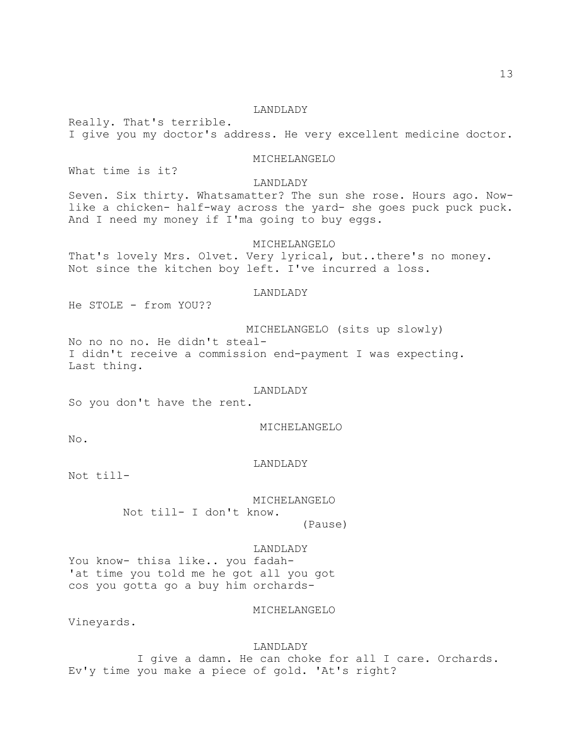# LANDLADY

Really. That's terrible. I give you my doctor's address. He very excellent medicine doctor.

# MICHELANGELO

What time is it?

# LANDLADY

Seven. Six thirty. Whatsamatter? The sun she rose. Hours ago. Nowlike a chicken- half-way across the yard- she goes puck puck puck. And I need my money if I'ma going to buy eggs.

# MICHELANGELO

That's lovely Mrs. Olvet. Very lyrical, but..there's no money. Not since the kitchen boy left. I've incurred a loss.

# LANDLADY

He STOLE - from YOU??

 MICHELANGELO (sits up slowly) No no no no. He didn't steal-I didn't receive a commission end-payment I was expecting. Last thing.

#### LANDLADY

So you don't have the rent.

#### MICHELANGELO

No.

#### LANDLADY

Not till-

 MICHELANGELO Not till- I don't know. (Pause)

#### LANDLADY

You know- thisa like.. you fadah- 'at time you told me he got all you got cos you gotta go a buy him orchards-

# MICHELANGELO

Vineyards.

#### LANDLADY

 I give a damn. He can choke for all I care. Orchards. Ev'y time you make a piece of gold. 'At's right?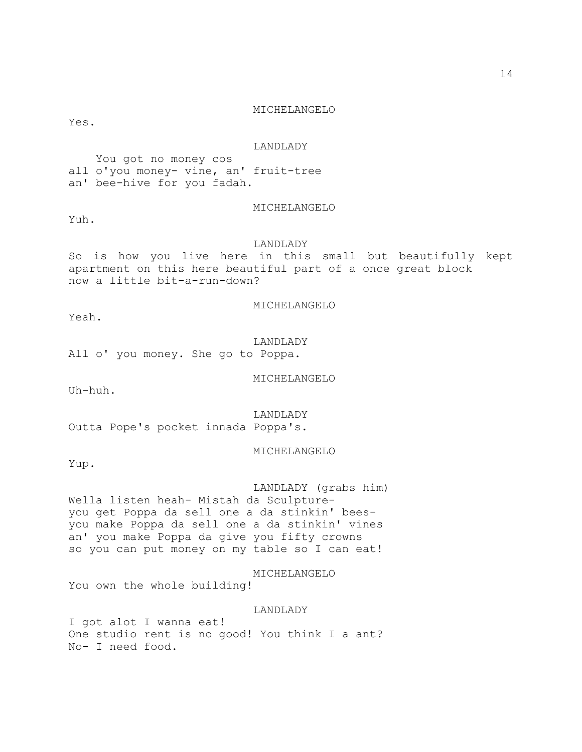# MICHELANGELO

Yes.

#### LANDLADY

 You got no money cos all o'you money- vine, an' fruit-tree an' bee-hive for you fadah.

# MICHELANGELO

Yuh.

## LANDLADY

So is how you live here in this small but beautifully kept apartment on this here beautiful part of a once great block now a little bit-a-run-down?

MICHELANGELO

Yeah.

# LANDLADY

All o' you money. She go to Poppa.

MICHELANGELO

Uh-huh.

LANDLADY

Outta Pope's pocket innada Poppa's.

MICHELANGELO

Yup.

 LANDLADY (grabs him) Wella listen heah- Mistah da Sculptureyou get Poppa da sell one a da stinkin' beesyou make Poppa da sell one a da stinkin' vines an' you make Poppa da give you fifty crowns so you can put money on my table so I can eat!

MICHELANGELO

You own the whole building!

LANDLADY

I got alot I wanna eat! One studio rent is no good! You think I a ant? No- I need food.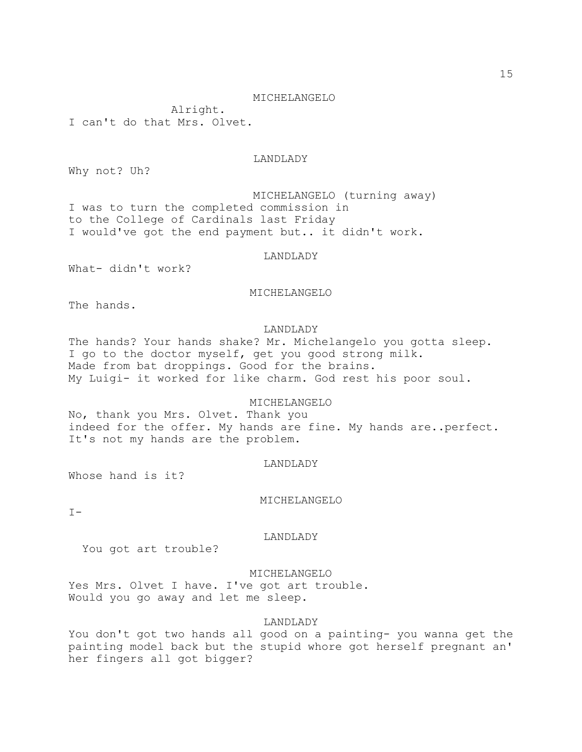#### MICHELANGELO

 Alright. I can't do that Mrs. Olvet.

# LANDLADY

Why not? Uh?

 MICHELANGELO (turning away) I was to turn the completed commission in to the College of Cardinals last Friday I would've got the end payment but.. it didn't work.

# LANDLADY

What- didn't work?

MICHELANGELO

The hands.

# LANDLADY

The hands? Your hands shake? Mr. Michelangelo you gotta sleep. I go to the doctor myself, get you good strong milk. Made from bat droppings. Good for the brains. My Luigi- it worked for like charm. God rest his poor soul.

# MICHELANGELO

No, thank you Mrs. Olvet. Thank you indeed for the offer. My hands are fine. My hands are..perfect. It's not my hands are the problem.

#### LANDLADY

Whose hand is it?

# MICHELANGELO

 $T -$ 

#### LANDLADY

You got art trouble?

# MICHELANGELO

Yes Mrs. Olvet I have. I've got art trouble. Would you go away and let me sleep.

# LANDLADY

You don't got two hands all good on a painting- you wanna get the painting model back but the stupid whore got herself pregnant an' her fingers all got bigger?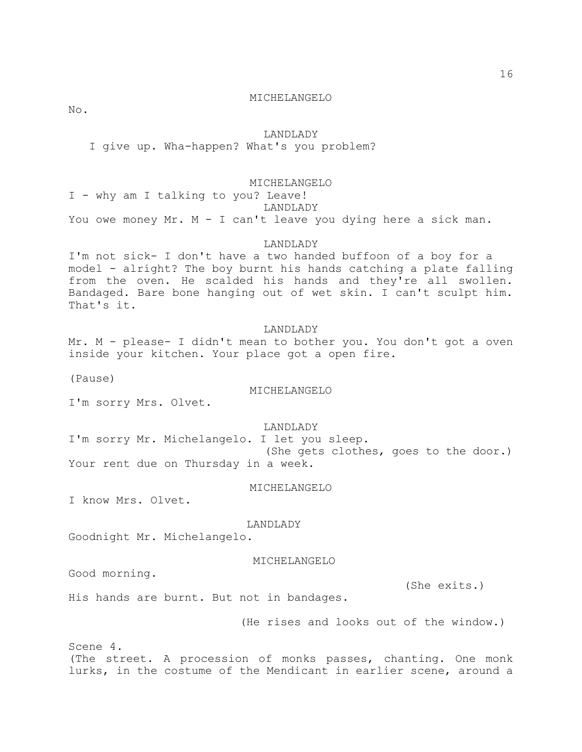16

#### MICHELANGELO

No.

## LANDLADY

I give up. Wha-happen? What's you problem?

# MICHELANGELO

I - why am I talking to you? Leave! LANDLADY You owe money Mr. M - I can't leave you dying here a sick man.

# LANDLADY

I'm not sick- I don't have a two handed buffoon of a boy for a model - alright? The boy burnt his hands catching a plate falling from the oven. He scalded his hands and they're all swollen. Bandaged. Bare bone hanging out of wet skin. I can't sculpt him. That's it.

# LANDLADY

Mr. M - please- I didn't mean to bother you. You don't got a oven inside your kitchen. Your place got a open fire.

(Pause)

# MICHELANGELO

I'm sorry Mrs. Olvet.

# LANDLADY

I'm sorry Mr. Michelangelo. I let you sleep. (She gets clothes, goes to the door.) Your rent due on Thursday in a week.

#### MICHELANGELO

I know Mrs. Olvet.

#### LANDLADY

Goodnight Mr. Michelangelo.

#### MICHELANGELO

Good morning.

(She exits.)

His hands are burnt. But not in bandages.

(He rises and looks out of the window.)

Scene 4. (The street. A procession of monks passes, chanting. One monk lurks, in the costume of the Mendicant in earlier scene, around a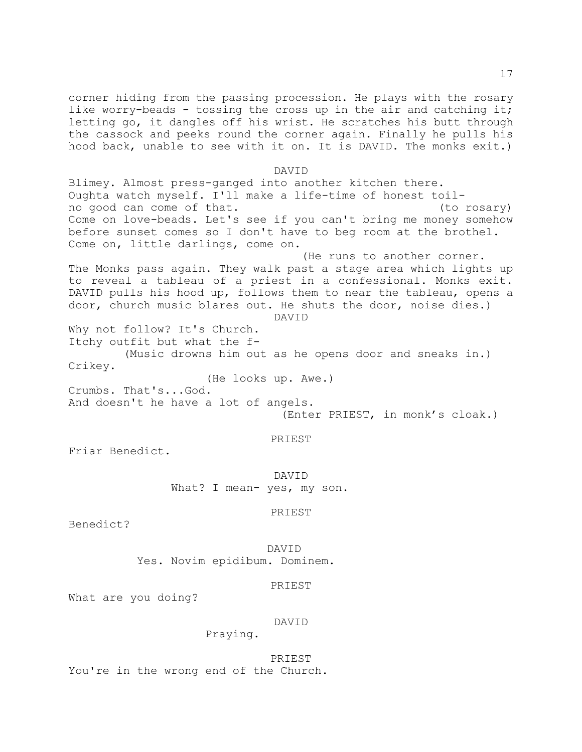corner hiding from the passing procession. He plays with the rosary like worry-beads - tossing the cross up in the air and catching it; letting go, it dangles off his wrist. He scratches his butt through the cassock and peeks round the corner again. Finally he pulls his hood back, unable to see with it on. It is DAVID. The monks exit.)

#### DAVID

Blimey. Almost press-ganged into another kitchen there. Oughta watch myself. I'll make a life-time of honest toilno good can come of that. (to rosary) Come on love-beads. Let's see if you can't bring me money somehow before sunset comes so I don't have to beg room at the brothel. Come on, little darlings, come on. (He runs to another corner. The Monks pass again. They walk past a stage area which lights up

to reveal a tableau of a priest in a confessional. Monks exit. DAVID pulls his hood up, follows them to near the tableau, opens a door, church music blares out. He shuts the door, noise dies.)

DAVID

Why not follow? It's Church. Itchy outfit but what the f-

 (Music drowns him out as he opens door and sneaks in.) Crikey.

(He looks up. Awe.)

Crumbs. That's...God. And doesn't he have a lot of angels. (Enter PRIEST, in monk's cloak.)

# PRIEST

Friar Benedict.

DAVID What? I mean- yes, my son.

## PRIEST

Benedict?

DAVID

Yes. Novim epidibum. Dominem.

# PRIEST

What are you doing?

# DAVID

Praying.

PRIEST You're in the wrong end of the Church.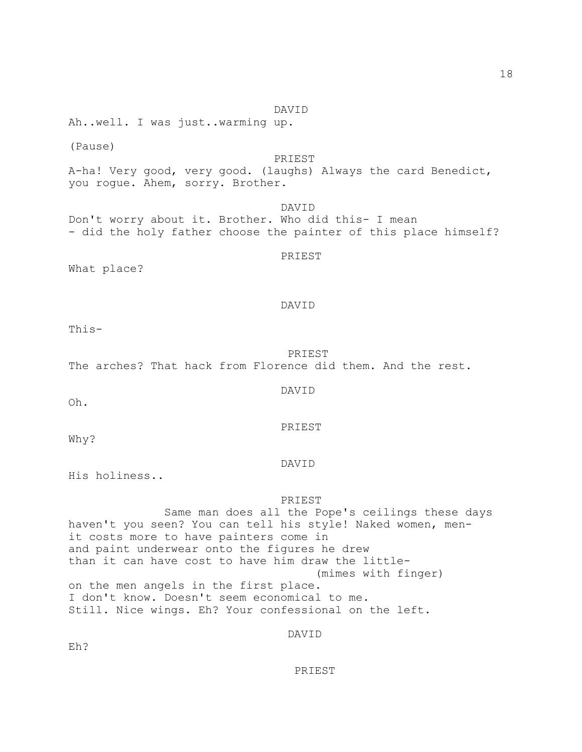DAVID PRIEST What place? DAVID

This-

 PRIEST The arches? That hack from Florence did them. And the rest.

Oh.

Why?

His holiness..

PRIEST

DAVID

 Same man does all the Pope's ceilings these days haven't you seen? You can tell his style! Naked women, menit costs more to have painters come in and paint underwear onto the figures he drew than it can have cost to have him draw the little- (mimes with finger) on the men angels in the first place. I don't know. Doesn't seem economical to me. Still. Nice wings. Eh? Your confessional on the left.

DAVID

Eh?

PRIEST

DAVID

PRIEST

Ah..well. I was just..warming up.

(Pause) PRIEST A-ha! Very good, very good. (laughs) Always the card Benedict, you rogue. Ahem, sorry. Brother.

DAVID

- did the holy father choose the painter of this place himself?

Don't worry about it. Brother. Who did this- I mean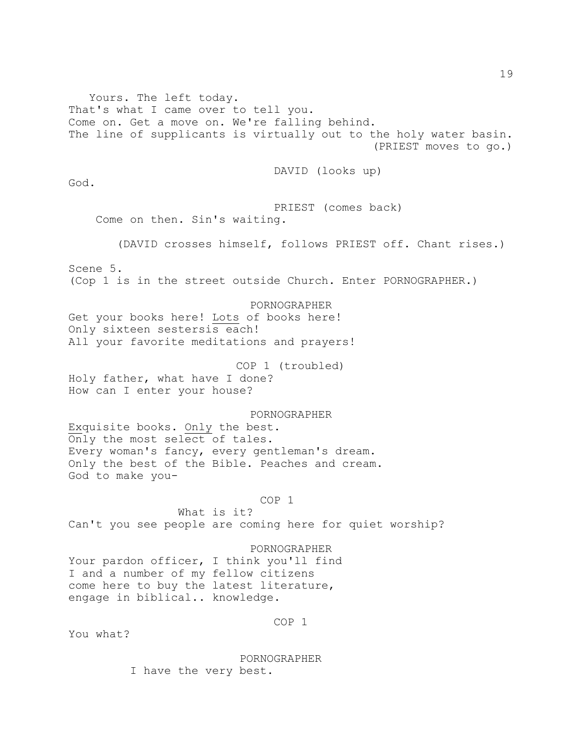Yours. The left today. That's what I came over to tell you. Come on. Get a move on. We're falling behind. The line of supplicants is virtually out to the holy water basin. (PRIEST moves to go.) DAVID (looks up) God. PRIEST (comes back) Come on then. Sin's waiting. (DAVID crosses himself, follows PRIEST off. Chant rises.) Scene 5. (Cop 1 is in the street outside Church. Enter PORNOGRAPHER.) PORNOGRAPHER Get your books here! Lots of books here! Only sixteen sestersis each! All your favorite meditations and prayers! COP 1 (troubled) Holy father, what have I done? How can I enter your house? PORNOGRAPHER Exquisite books. Only the best. Only the most select of tales. Every woman's fancy, every gentleman's dream. Only the best of the Bible. Peaches and cream. God to make you- COP 1 What is it? Can't you see people are coming here for quiet worship? PORNOGRAPHER Your pardon officer, I think you'll find I and a number of my fellow citizens come here to buy the latest literature, engage in biblical.. knowledge. COP 1 You what?

> PORNOGRAPHER I have the very best.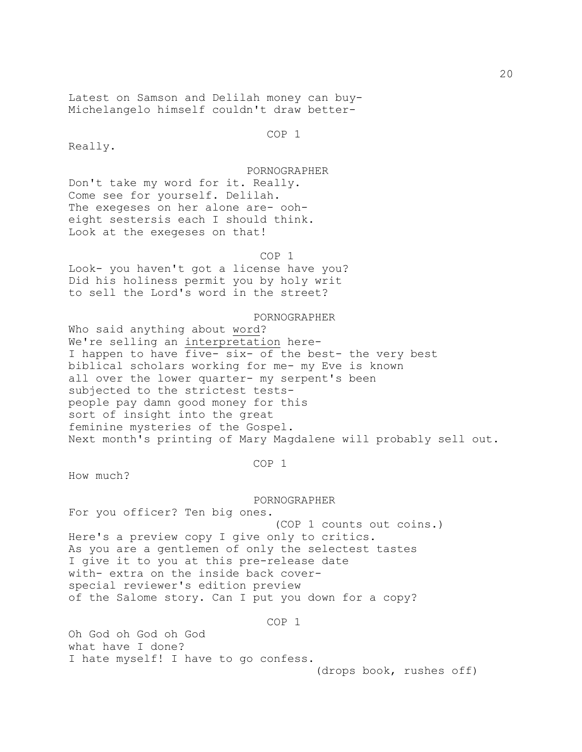Latest on Samson and Delilah money can buy-Michelangelo himself couldn't draw better-

COP 1

Really.

 PORNOGRAPHER Don't take my word for it. Really. Come see for yourself. Delilah.

The exegeses on her alone are- ooheight sestersis each I should think. Look at the exegeses on that!

 COP 1 Look- you haven't got a license have you? Did his holiness permit you by holy writ to sell the Lord's word in the street?

 PORNOGRAPHER Who said anything about word? We're selling an interpretation here-I happen to have five- six- of the best- the very best biblical scholars working for me- my Eve is known all over the lower quarter- my serpent's been subjected to the strictest testspeople pay damn good money for this sort of insight into the great feminine mysteries of the Gospel. Next month's printing of Mary Magdalene will probably sell out.

COP 1

How much?

 PORNOGRAPHER For you officer? Ten big ones. (COP 1 counts out coins.) Here's a preview copy I give only to critics. As you are a gentlemen of only the selectest tastes I give it to you at this pre-release date with- extra on the inside back coverspecial reviewer's edition preview of the Salome story. Can I put you down for a copy?

COP 1

Oh God oh God oh God what have I done? I hate myself! I have to go confess.

(drops book, rushes off)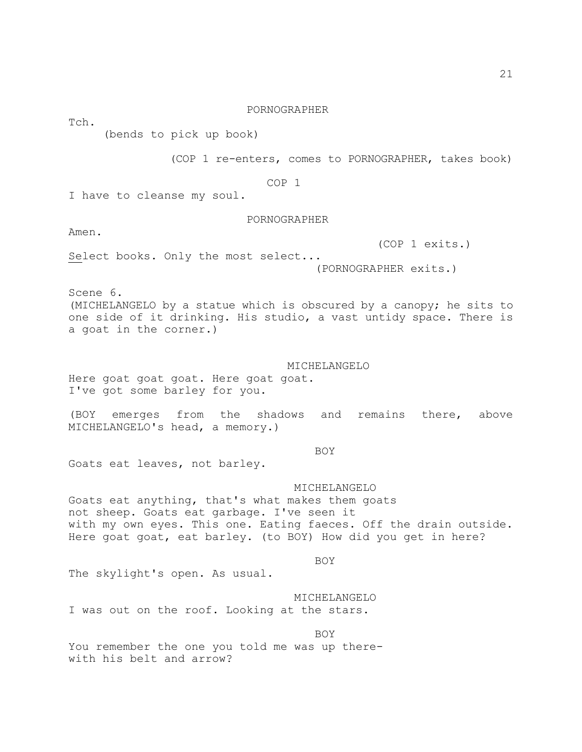Tch.

# PORNOGRAPHER

(bends to pick up book)

(COP 1 re-enters, comes to PORNOGRAPHER, takes book)

COP 1

I have to cleanse my soul.

# PORNOGRAPHER

Amen.

(COP 1 exits.)

Select books. Only the most select...

(PORNOGRAPHER exits.)

Scene 6.

(MICHELANGELO by a statue which is obscured by a canopy; he sits to one side of it drinking. His studio, a vast untidy space. There is a goat in the corner.)

# MICHELANGELO

Here goat goat goat. Here goat goat. I've got some barley for you.

(BOY emerges from the shadows and remains there, above MICHELANGELO's head, a memory.)

**BOY** 

Goats eat leaves, not barley.

# MICHELANGELO

Goats eat anything, that's what makes them goats not sheep. Goats eat garbage. I've seen it with my own eyes. This one. Eating faeces. Off the drain outside. Here goat goat, eat barley. (to BOY) How did you get in here?

**BOY** 

The skylight's open. As usual.

 MICHELANGELO I was out on the roof. Looking at the stars.

**BOY** You remember the one you told me was up therewith his belt and arrow?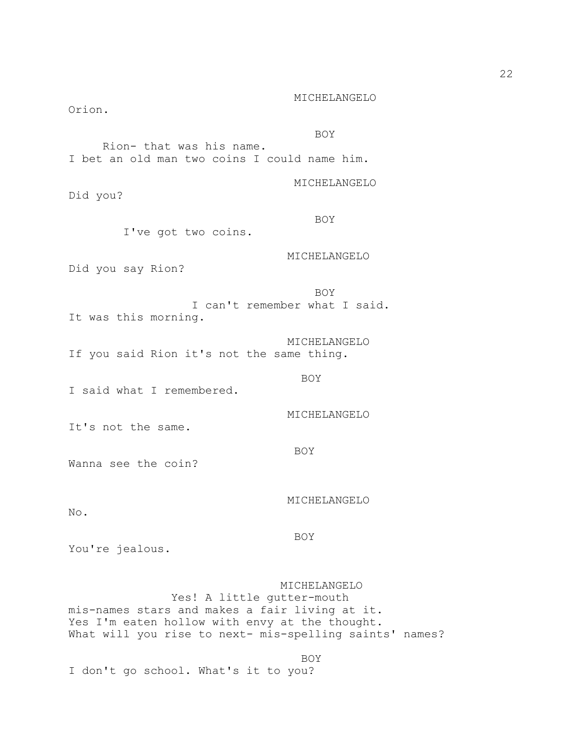Orion. **BOY**  Rion- that was his name. I bet an old man two coins I could name him. MICHELANGELO Did you? **BOY**  I've got two coins. MICHELANGELO Did you say Rion? **BOY**  I can't remember what I said. It was this morning. MICHELANGELO If you said Rion it's not the same thing. **BOY** I said what I remembered. MICHELANGELO It's not the same. BOY Wanna see the coin? MICHELANGELO No. BOY You're jealous. MICHELANGELO Yes! A little gutter-mouth mis-names stars and makes a fair living at it. Yes I'm eaten hollow with envy at the thought. What will you rise to next- mis-spelling saints' names? **BOY** 

MICHELANGELO

I don't go school. What's it to you?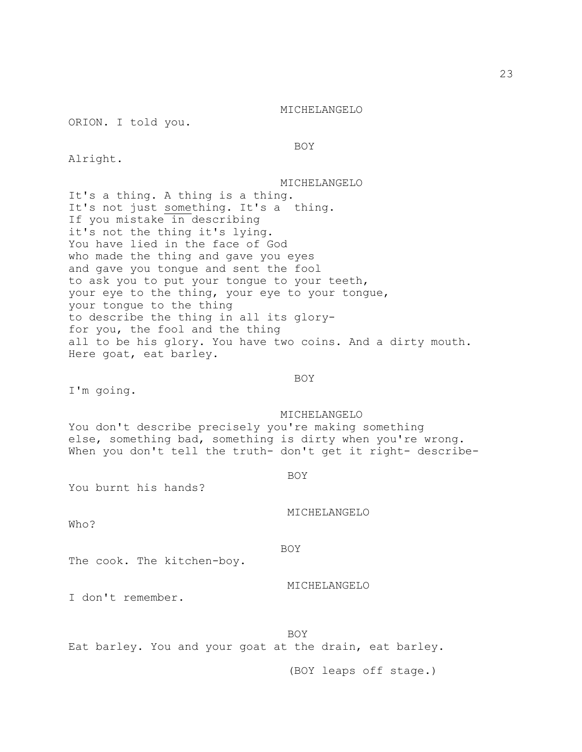ORION. I told you.

BOY

Alright.

 MICHELANGELO It's a thing. A thing is a thing. It's not just something. It's a thing. If you mistake in describing it's not the thing it's lying. You have lied in the face of God who made the thing and gave you eyes and gave you tongue and sent the fool to ask you to put your tongue to your teeth, your eye to the thing, your eye to your tongue, your tongue to the thing to describe the thing in all its gloryfor you, the fool and the thing all to be his glory. You have two coins. And a dirty mouth. Here goat, eat barley.

**BOY** 

I'm going.

MICHELANGELO

You don't describe precisely you're making something else, something bad, something is dirty when you're wrong. When you don't tell the truth- don't get it right- describe-

**BOY** 

You burnt his hands?

MICHELANGELO

Who?

BOY

The cook. The kitchen-boy.

MICHELANGELO

I don't remember.

BOY

Eat barley. You and your goat at the drain, eat barley.

(BOY leaps off stage.)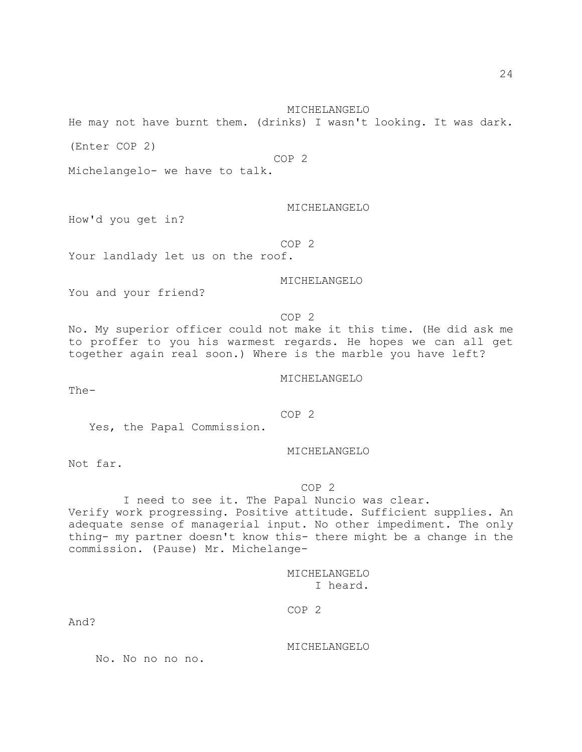MICHELANGELO

He may not have burnt them. (drinks) I wasn't looking. It was dark.

(Enter COP 2)

COP 2

Michelangelo- we have to talk.

MICHELANGELO

How'd you get in?

COP 2

Your landlady let us on the roof.

MICHELANGELO

You and your friend?

COP 2

No. My superior officer could not make it this time. (He did ask me to proffer to you his warmest regards. He hopes we can all get together again real soon.) Where is the marble you have left?

MICHELANGELO

The-

COP 2

Yes, the Papal Commission.

MICHELANGELO

Not far.

## COP 2

 I need to see it. The Papal Nuncio was clear. Verify work progressing. Positive attitude. Sufficient supplies. An adequate sense of managerial input. No other impediment. The only thing- my partner doesn't know this- there might be a change in the commission. (Pause) Mr. Michelange-

> MICHELANGELO I heard.

COP 2

And?

MICHELANGELO

No. No no no no.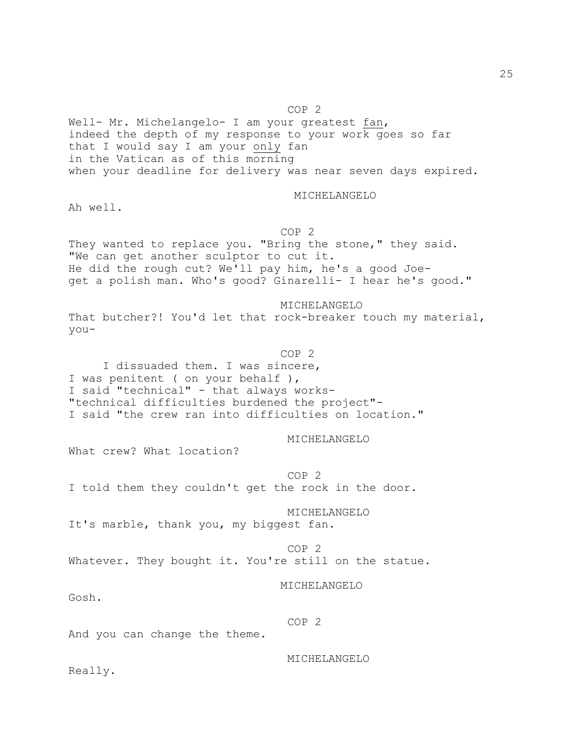COP 2

Well- Mr. Michelangelo- I am your greatest fan, indeed the depth of my response to your work goes so far that I would say I am your only fan in the Vatican as of this morning when your deadline for delivery was near seven days expired.

MICHELANGELO

Ah well.

COP 2

They wanted to replace you. "Bring the stone," they said. "We can get another sculptor to cut it. He did the rough cut? We'll pay him, he's a good Joeget a polish man. Who's good? Ginarelli- I hear he's good."

 MICHELANGELO That butcher?! You'd let that rock-breaker touch my material, you-

**COP 2**  I dissuaded them. I was sincere, I was penitent ( on your behalf ), I said "technical" - that always works- "technical difficulties burdened the project"- I said "the crew ran into difficulties on location."

MICHELANGELO

What crew? What location?

 COP 2 I told them they couldn't get the rock in the door.

MICHELANGELO

It's marble, thank you, my biggest fan.

 COP 2 Whatever. They bought it. You're still on the statue.

MICHELANGELO

Gosh.

COP 2

And you can change the theme.

MICHELANGELO

Really.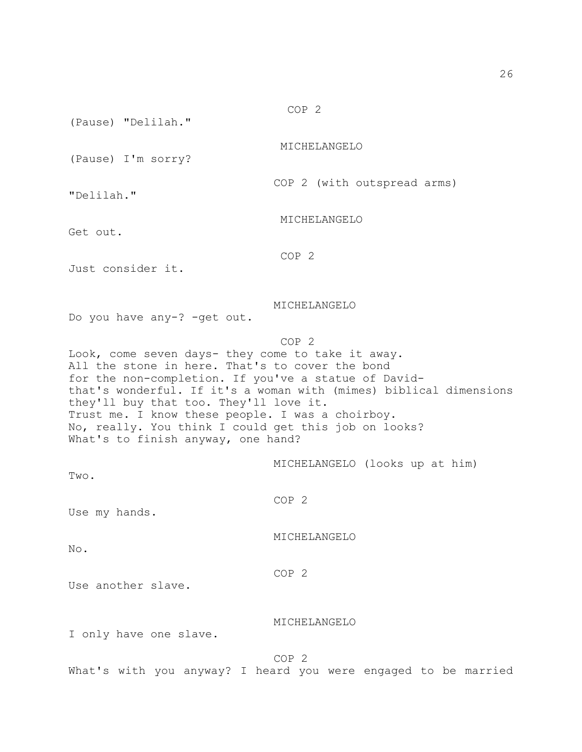(Pause) "Delilah."

MICHELANGELO

MICHELANGELO

COP 2 (with outspread arms)

(Pause) I'm sorry?

"Delilah."

Get out.

COP 2

Just consider it.

MICHELANGELO

Do you have any-? -get out.

### COP 2

Look, come seven days- they come to take it away. All the stone in here. That's to cover the bond for the non-completion. If you've a statue of Davidthat's wonderful. If it's a woman with (mimes) biblical dimensions they'll buy that too. They'll love it. Trust me. I know these people. I was a choirboy. No, really. You think I could get this job on looks? What's to finish anyway, one hand?

MICHELANGELO (looks up at him)

Two.

COP 2

Use my hands.

MICHELANGELO

No.

COP 2

Use another slave.

# MICHELANGELO

I only have one slave.

COP 2

What's with you anyway? I heard you were engaged to be married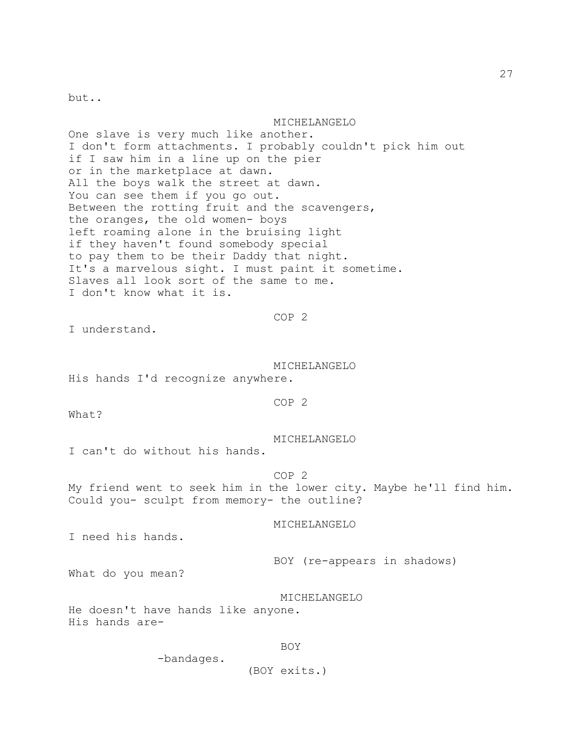but..

#### MICHELANGELO

One slave is very much like another. I don't form attachments. I probably couldn't pick him out if I saw him in a line up on the pier or in the marketplace at dawn. All the boys walk the street at dawn. You can see them if you go out. Between the rotting fruit and the scavengers, the oranges, the old women- boys left roaming alone in the bruising light if they haven't found somebody special to pay them to be their Daddy that night. It's a marvelous sight. I must paint it sometime. Slaves all look sort of the same to me. I don't know what it is.

## COP 2

I understand.

 MICHELANGELO His hands I'd recognize anywhere.

# COP 2

What?

MICHELANGELO

I can't do without his hands.

 COP 2 My friend went to seek him in the lower city. Maybe he'll find him. Could you- sculpt from memory- the outline?

# MICHELANGELO

I need his hands.

BOY (re-appears in shadows)

What do you mean?

MICHELANGELO

He doesn't have hands like anyone. His hands are-

# BOY

-bandages.

(BOY exits.)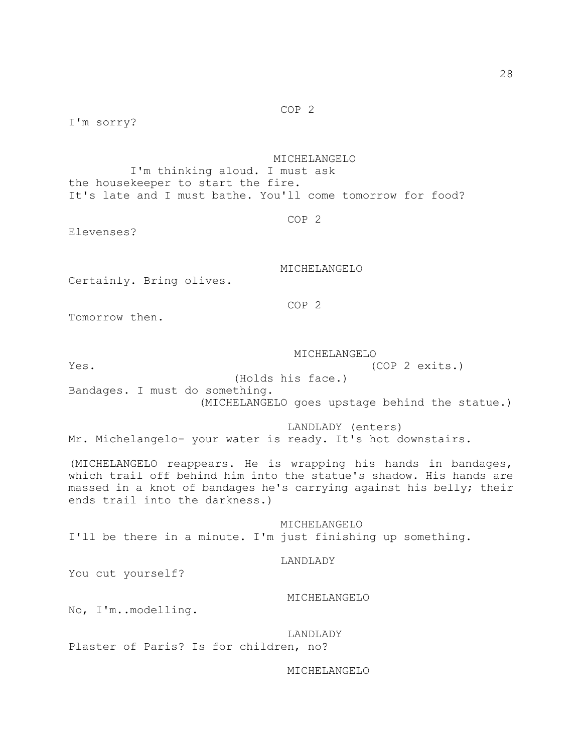COP 2

I'm sorry?

 MICHELANGELO I'm thinking aloud. I must ask the housekeeper to start the fire. It's late and I must bathe. You'll come tomorrow for food?

COP 2

Elevenses?

MICHELANGELO

Certainly. Bring olives.

COP 2

Tomorrow then.

MICHELANGELO

Yes. (COP 2 exits.)

(Holds his face.)

Bandages. I must do something.

(MICHELANGELO goes upstage behind the statue.)

 LANDLADY (enters) Mr. Michelangelo- your water is ready. It's hot downstairs.

(MICHELANGELO reappears. He is wrapping his hands in bandages, which trail off behind him into the statue's shadow. His hands are massed in a knot of bandages he's carrying against his belly; their ends trail into the darkness.)

 MICHELANGELO I'll be there in a minute. I'm just finishing up something.

#### LANDLADY

You cut yourself?

# MICHELANGELO

No, I'm..modelling.

 LANDLADY Plaster of Paris? Is for children, no?

MICHELANGELO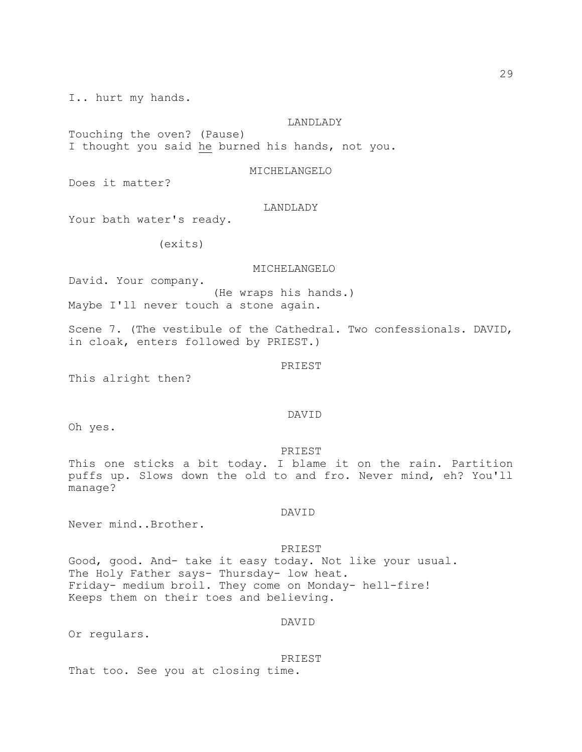I.. hurt my hands.

## LANDLADY

Touching the oven? (Pause) I thought you said he burned his hands, not you.

MICHELANGELO

Does it matter?

#### LANDLADY

Your bath water's ready.

(exits)

## MICHELANGELO

David. Your company. (He wraps his hands.) Maybe I'll never touch a stone again.

Scene 7. (The vestibule of the Cathedral. Two confessionals. DAVID, in cloak, enters followed by PRIEST.)

## PRIEST

This alright then?

# DAVID

Oh yes.

PRIEST

This one sticks a bit today. I blame it on the rain. Partition puffs up. Slows down the old to and fro. Never mind, eh? You'll manage?

DAVID

Never mind..Brother.

#### PRIEST

Good, good. And- take it easy today. Not like your usual. The Holy Father says- Thursday- low heat. Friday- medium broil. They come on Monday- hell-fire! Keeps them on their toes and believing.

# DAVID

Or regulars.

PRIEST

That too. See you at closing time.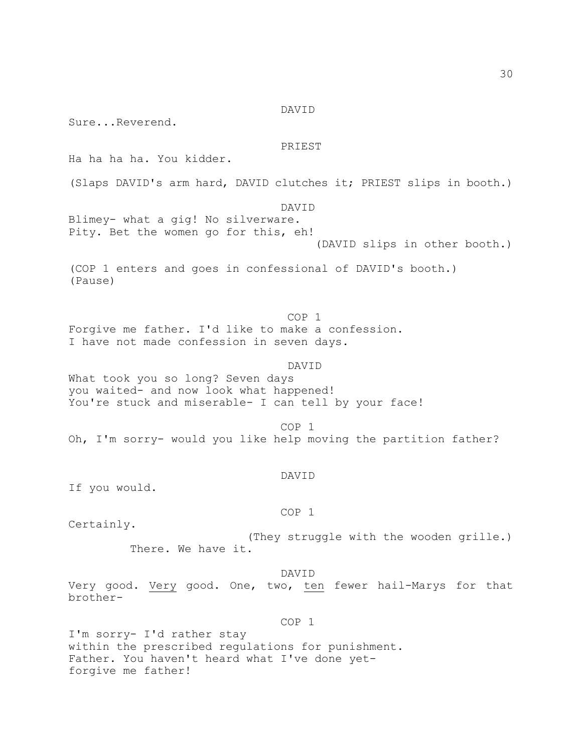#### DAVID

Sure...Reverend.

# PRIEST

Ha ha ha ha. You kidder.

(Slaps DAVID's arm hard, DAVID clutches it; PRIEST slips in booth.)

 DAVID Blimey- what a gig! No silverware. Pity. Bet the women go for this, eh! (DAVID slips in other booth.)

(COP 1 enters and goes in confessional of DAVID's booth.) (Pause)

 COP 1 Forgive me father. I'd like to make a confession. I have not made confession in seven days.

 DAVID What took you so long? Seven days you waited- and now look what happened! You're stuck and miserable- I can tell by your face!

 COP 1 Oh, I'm sorry- would you like help moving the partition father?

# DAVID

If you would.

#### COP 1

Certainly.

 (They struggle with the wooden grille.) There. We have it.

## DAVID

Very good. Very good. One, two, ten fewer hail-Marys for that brother-

COP 1

I'm sorry- I'd rather stay within the prescribed regulations for punishment. Father. You haven't heard what I've done yetforgive me father!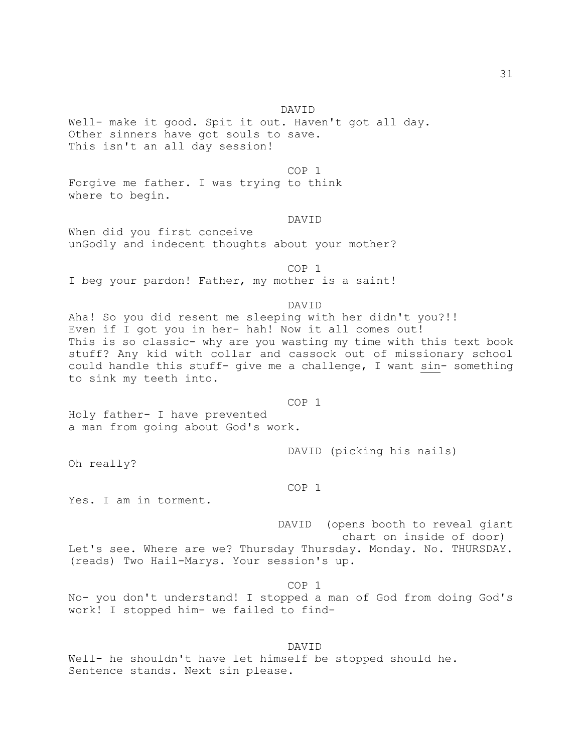#### DAVID

Well- make it good. Spit it out. Haven't got all day. Other sinners have got souls to save. This isn't an all day session!

COP 1

Forgive me father. I was trying to think where to begin.

#### DAVID

When did you first conceive unGodly and indecent thoughts about your mother?

 COP 1 I beg your pardon! Father, my mother is a saint!

# DAVID

Aha! So you did resent me sleeping with her didn't you?!! Even if I got you in her- hah! Now it all comes out! This is so classic- why are you wasting my time with this text book stuff? Any kid with collar and cassock out of missionary school could handle this stuff- give me a challenge, I want sin- something to sink my teeth into.

COP 1

Holy father- I have prevented a man from going about God's work.

DAVID (picking his nails)

Oh really?

#### COP 1

Yes. I am in torment.

 DAVID (opens booth to reveal giant chart on inside of door) Let's see. Where are we? Thursday Thursday. Monday. No. THURSDAY. (reads) Two Hail-Marys. Your session's up.

 COP 1 No- you don't understand! I stopped a man of God from doing God's work! I stopped him- we failed to find-

 DAVID Well- he shouldn't have let himself be stopped should he. Sentence stands. Next sin please.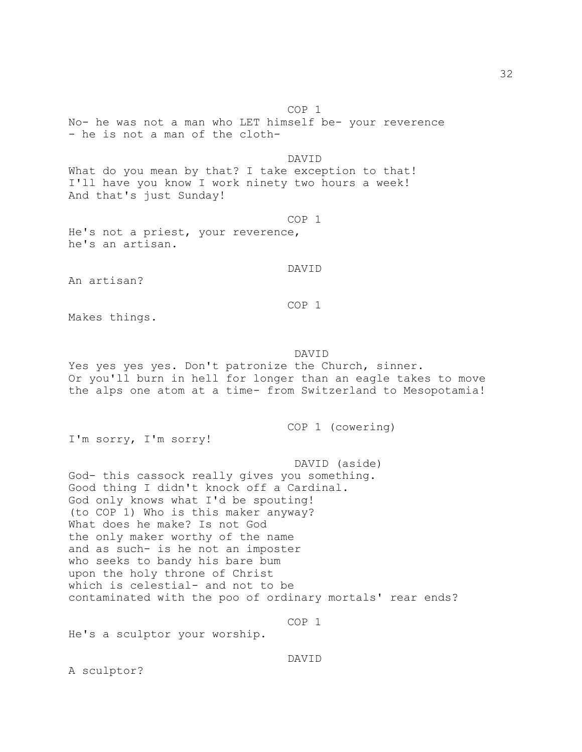COP 1

No- he was not a man who LET himself be- your reverence - he is not a man of the cloth-

# DAVID

What do you mean by that? I take exception to that! I'll have you know I work ninety two hours a week! And that's just Sunday!

# COP 1

He's not a priest, your reverence, he's an artisan.

# DAVID

An artisan?

# COP 1

Makes things.

## DAVID

Yes yes yes yes. Don't patronize the Church, sinner. Or you'll burn in hell for longer than an eagle takes to move the alps one atom at a time- from Switzerland to Mesopotamia!

COP 1 (cowering)

I'm sorry, I'm sorry!

 DAVID (aside) God- this cassock really gives you something. Good thing I didn't knock off a Cardinal. God only knows what I'd be spouting! (to COP 1) Who is this maker anyway? What does he make? Is not God the only maker worthy of the name and as such- is he not an imposter who seeks to bandy his bare bum upon the holy throne of Christ which is celestial- and not to be contaminated with the poo of ordinary mortals' rear ends?

# COP 1

He's a sculptor your worship.

#### DAVID

A sculptor?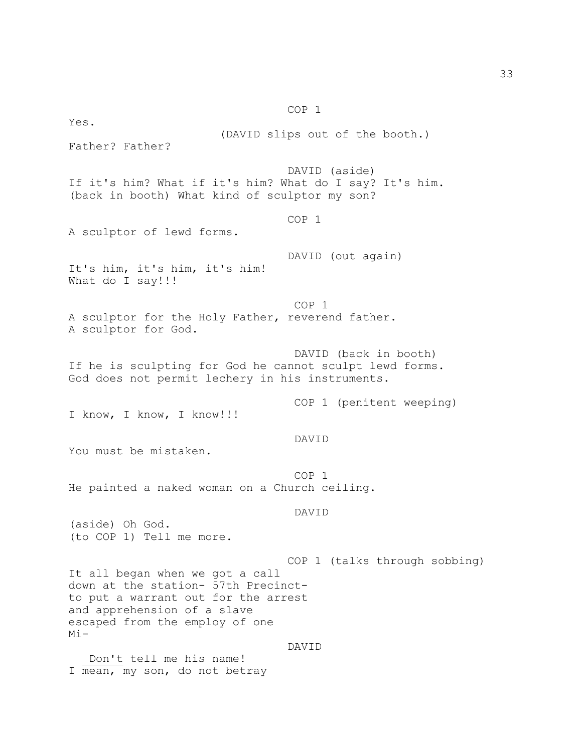COP 1 Yes. (DAVID slips out of the booth.) Father? Father? DAVID (aside) If it's him? What if it's him? What do I say? It's him. (back in booth) What kind of sculptor my son? COP 1 A sculptor of lewd forms. DAVID (out again) It's him, it's him, it's him! What do I say!!! COP 1 A sculptor for the Holy Father, reverend father. A sculptor for God. DAVID (back in booth) If he is sculpting for God he cannot sculpt lewd forms. God does not permit lechery in his instruments. COP 1 (penitent weeping) I know, I know, I know!!! DAVID You must be mistaken. COP 1 He painted a naked woman on a Church ceiling. DAVID (aside) Oh God. (to COP 1) Tell me more. COP 1 (talks through sobbing) It all began when we got a call down at the station- 57th Precinctto put a warrant out for the arrest and apprehension of a slave escaped from the employ of one Mi- DAVID Don't tell me his name! I mean, my son, do not betray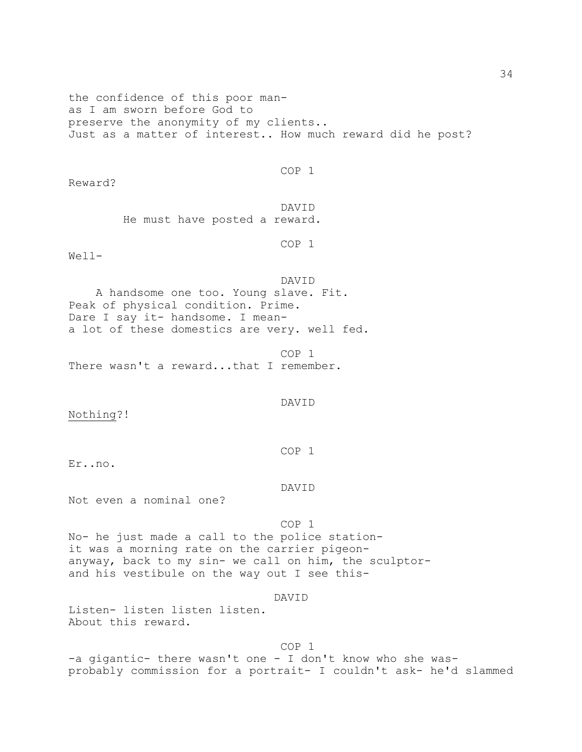the confidence of this poor manas I am sworn before God to preserve the anonymity of my clients.. Just as a matter of interest.. How much reward did he post?

COP 1

Reward?

 DAVID He must have posted a reward.

COP 1

Well-

 DAVID A handsome one too. Young slave. Fit. Peak of physical condition. Prime. Dare I say it- handsome. I meana lot of these domestics are very. well fed.

 COP 1 There wasn't a reward...that I remember.

DAVID

Nothing?!

COP 1

Er..no.

DAVID

Not even a nominal one?

COP 1

No- he just made a call to the police stationit was a morning rate on the carrier pigeonanyway, back to my sin- we call on him, the sculptorand his vestibule on the way out I see this-

DAVID

Listen- listen listen listen. About this reward.

COP 1

-a gigantic- there wasn't one - I don't know who she wasprobably commission for a portrait- I couldn't ask- he'd slammed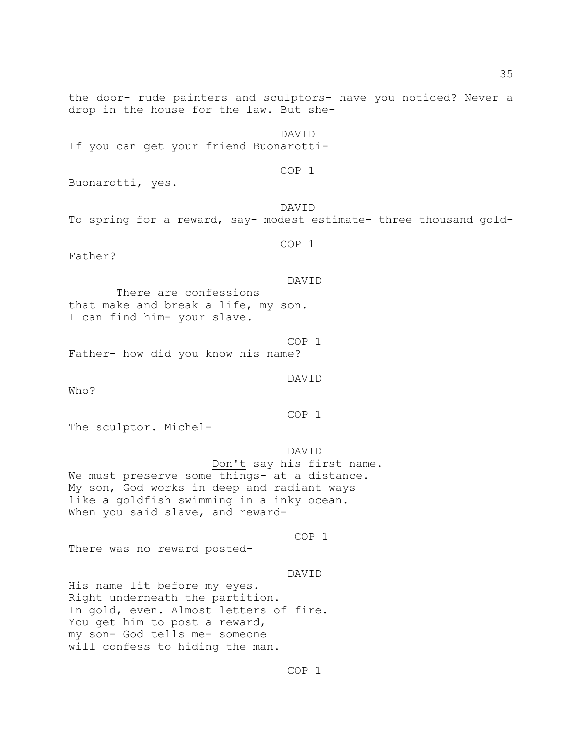the door- rude painters and sculptors- have you noticed? Never a drop in the house for the law. But she-

 DAVID If you can get your friend Buonarotti-

COP 1

Buonarotti, yes.

 DAVID To spring for a reward, say- modest estimate- three thousand gold-

COP 1

Father?

DAVID

 There are confessions that make and break a life, my son. I can find him- your slave.

 COP 1 Father- how did you know his name?

DAVID

Who?

COP 1

The sculptor. Michel-

 DAVID Don't say his first name. We must preserve some things- at a distance. My son, God works in deep and radiant ways like a goldfish swimming in a inky ocean. When you said slave, and reward-

COP 1

There was no reward posted-

DAVID

His name lit before my eyes. Right underneath the partition. In gold, even. Almost letters of fire. You get him to post a reward, my son- God tells me- someone will confess to hiding the man.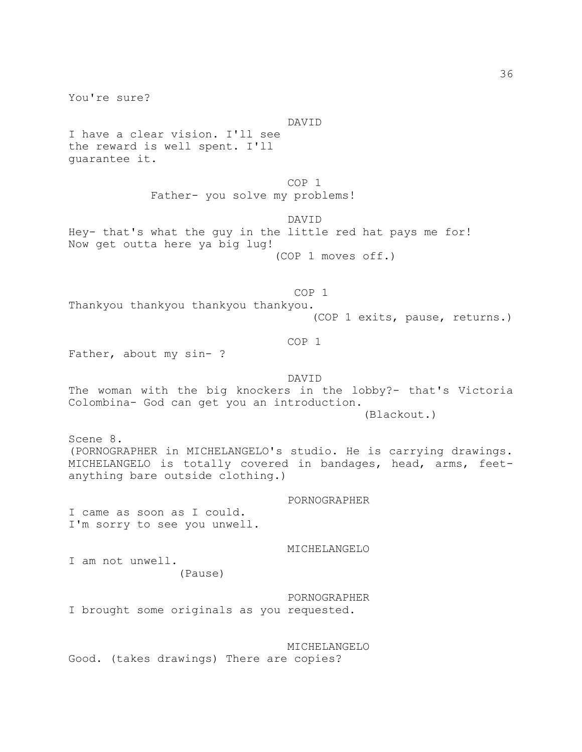You're sure? DAVID I have a clear vision. I'll see the reward is well spent. I'll guarantee it. COP 1 Father- you solve my problems! DAVID Hey- that's what the guy in the little red hat pays me for! Now get outta here ya big lug! (COP 1 moves off.) COP 1 Thankyou thankyou thankyou thankyou. (COP 1 exits, pause, returns.) COP 1 Father, about my sin- ? DAVID The woman with the big knockers in the lobby?- that's Victoria Colombina- God can get you an introduction. (Blackout.) Scene 8. (PORNOGRAPHER in MICHELANGELO's studio. He is carrying drawings. MICHELANGELO is totally covered in bandages, head, arms, feetanything bare outside clothing.) PORNOGRAPHER I came as soon as I could. I'm sorry to see you unwell. MICHELANGELO I am not unwell. (Pause) PORNOGRAPHER I brought some originals as you requested. MICHELANGELO Good. (takes drawings) There are copies?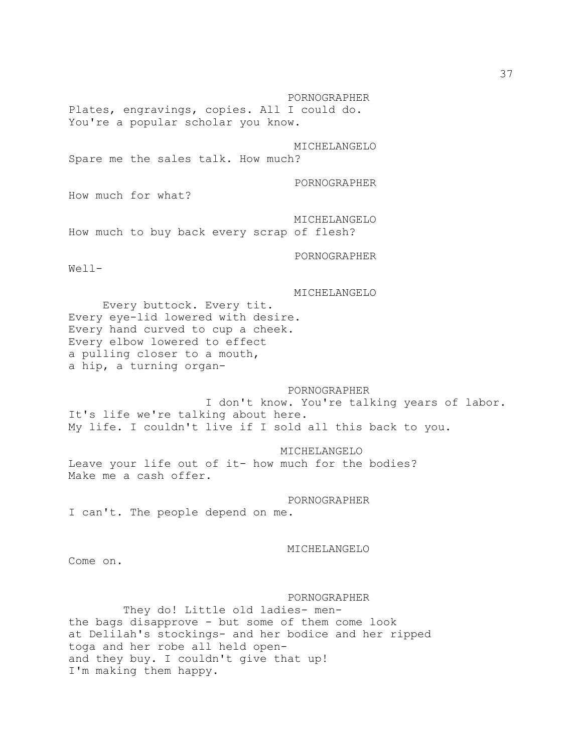PORNOGRAPHER Plates, engravings, copies. All I could do. You're a popular scholar you know.

 MICHELANGELO Spare me the sales talk. How much?

PORNOGRAPHER

How much for what?

 MICHELANGELO How much to buy back every scrap of flesh?

PORNOGRAPHER

Well-

MICHELANGELO

 Every buttock. Every tit. Every eye-lid lowered with desire. Every hand curved to cup a cheek. Every elbow lowered to effect a pulling closer to a mouth, a hip, a turning organ-

#### PORNOGRAPHER

 I don't know. You're talking years of labor. It's life we're talking about here. My life. I couldn't live if I sold all this back to you.

MICHELANGELO

Leave your life out of it- how much for the bodies? Make me a cash offer.

PORNOGRAPHER

I can't. The people depend on me.

# MICHELANGELO

Come on.

## PORNOGRAPHER

 They do! Little old ladies- menthe bags disapprove - but some of them come look at Delilah's stockings- and her bodice and her ripped toga and her robe all held openand they buy. I couldn't give that up! I'm making them happy.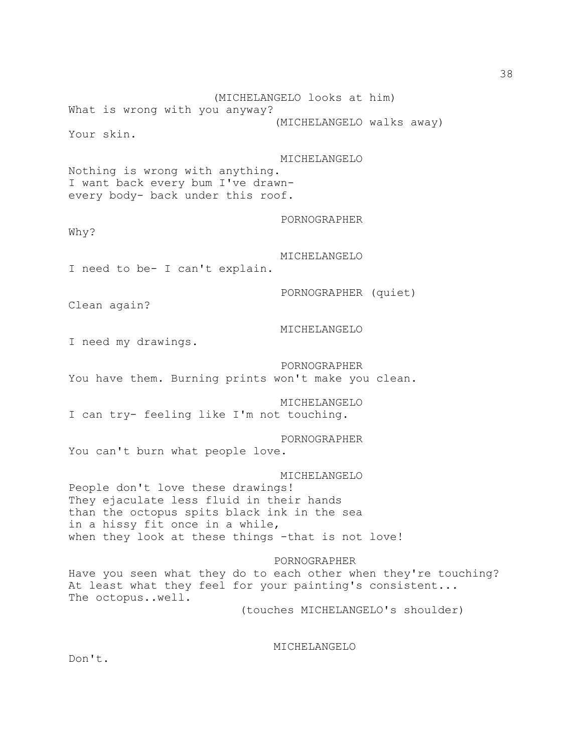What is wrong with you anyway? (MICHELANGELO walks away) Your skin. MICHELANGELO Nothing is wrong with anything. I want back every bum I've drawnevery body- back under this roof. PORNOGRAPHER Why? MICHELANGELO I need to be- I can't explain.

(MICHELANGELO looks at him)

PORNOGRAPHER (quiet)

Clean again?

I need my drawings.

 PORNOGRAPHER You have them. Burning prints won't make you clean.

 MICHELANGELO I can try- feeling like I'm not touching.

PORNOGRAPHER

MICHELANGELO

You can't burn what people love.

MICHELANGELO

People don't love these drawings! They ejaculate less fluid in their hands than the octopus spits black ink in the sea in a hissy fit once in a while, when they look at these things -that is not love!

 PORNOGRAPHER Have you seen what they do to each other when they're touching? At least what they feel for your painting's consistent... The octopus..well.

(touches MICHELANGELO's shoulder)

MICHELANGELO

Don't.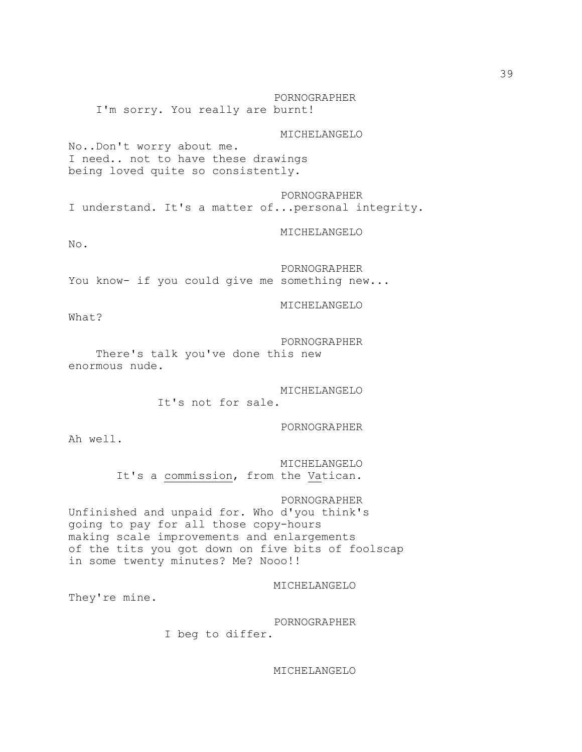PORNOGRAPHER I'm sorry. You really are burnt!

MICHELANGELO

No..Don't worry about me. I need.. not to have these drawings being loved quite so consistently.

 PORNOGRAPHER I understand. It's a matter of...personal integrity.

MICHELANGELO

 $N<sub>O</sub>$ .

 PORNOGRAPHER You know- if you could give me something new...

MICHELANGELO

What?

PORNOGRAPHER

 There's talk you've done this new enormous nude.

> MICHELANGELO It's not for sale.

> > PORNOGRAPHER

Ah well.

 MICHELANGELO It's a commission, from the Vatican.

 PORNOGRAPHER Unfinished and unpaid for. Who d'you think's going to pay for all those copy-hours making scale improvements and enlargements of the tits you got down on five bits of foolscap in some twenty minutes? Me? Nooo!!

MICHELANGELO

They're mine.

PORNOGRAPHER

I beg to differ.

MICHELANGELO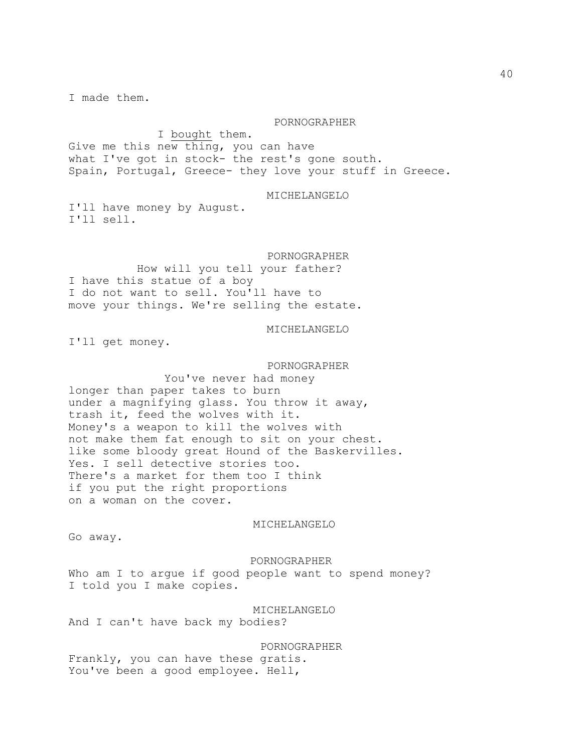I made them.

#### PORNOGRAPHER

 I bought them. Give me this new thing, you can have what I've got in stock- the rest's gone south. Spain, Portugal, Greece- they love your stuff in Greece.

#### MICHELANGELO

I'll have money by August. I'll sell.

 PORNOGRAPHER How will you tell your father? I have this statue of a boy I do not want to sell. You'll have to move your things. We're selling the estate.

### MICHELANGELO

I'll get money.

 PORNOGRAPHER You've never had money longer than paper takes to burn under a magnifying glass. You throw it away, trash it, feed the wolves with it. Money's a weapon to kill the wolves with not make them fat enough to sit on your chest. like some bloody great Hound of the Baskervilles. Yes. I sell detective stories too. There's a market for them too I think if you put the right proportions on a woman on the cover.

#### MICHELANGELO

Go away.

#### PORNOGRAPHER

Who am I to argue if good people want to spend money? I told you I make copies.

### MICHELANGELO

And I can't have back my bodies?

 PORNOGRAPHER Frankly, you can have these gratis. You've been a good employee. Hell,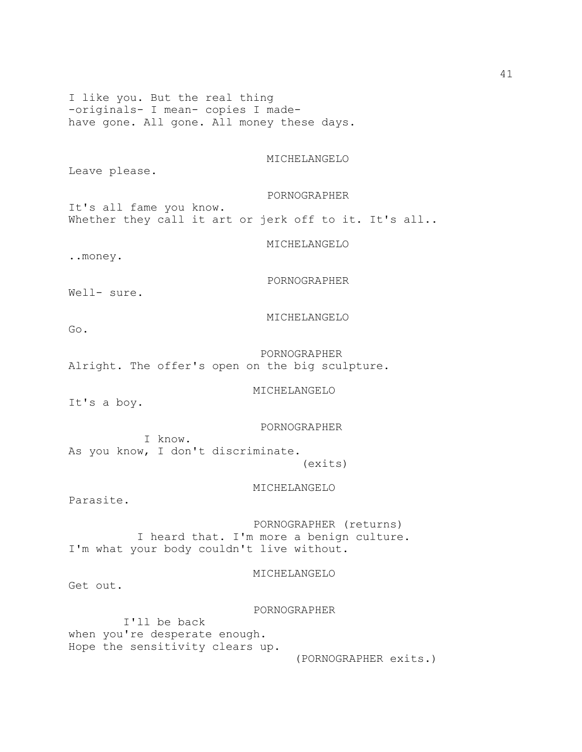I like you. But the real thing -originals- I mean- copies I madehave gone. All gone. All money these days.

MICHELANGELO

Leave please.

PORNOGRAPHER

It's all fame you know. Whether they call it art or jerk off to it. It's all..

MICHELANGELO

..money.

PORNOGRAPHER

Well- sure.

MICHELANGELO

Go.

 PORNOGRAPHER Alright. The offer's open on the big sculpture.

MICHELANGELO

It's a boy.

PORNOGRAPHER

 I know. As you know, I don't discriminate. (exits)

MICHELANGELO

Parasite.

 PORNOGRAPHER (returns) I heard that. I'm more a benign culture. I'm what your body couldn't live without.

MICHELANGELO

Get out.

PORNOGRAPHER

 I'll be back when you're desperate enough. Hope the sensitivity clears up.

(PORNOGRAPHER exits.)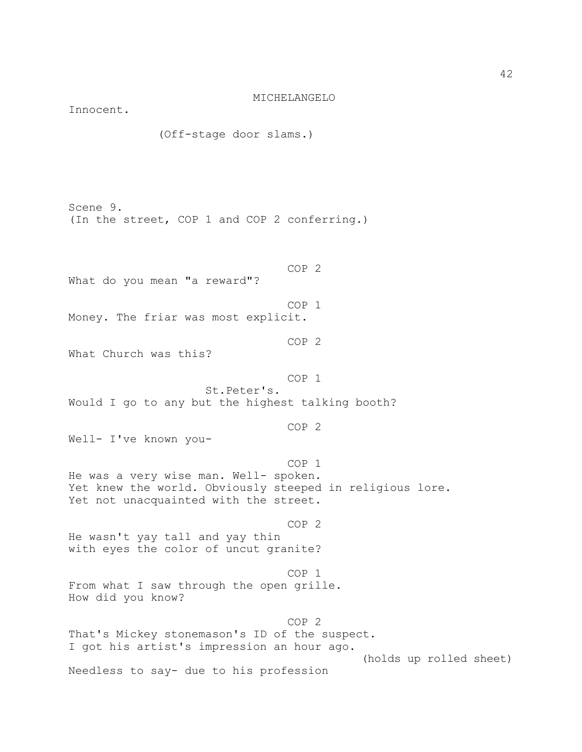MICHELANGELO Innocent. (Off-stage door slams.) Scene 9. (In the street, COP 1 and COP 2 conferring.) COP 2 What do you mean "a reward"? COP 1 Money. The friar was most explicit. COP 2 What Church was this? COP 1 St.Peter's. Would I go to any but the highest talking booth? COP 2 Well- I've known you- COP 1 He was a very wise man. Well- spoken. Yet knew the world. Obviously steeped in religious lore. Yet not unacquainted with the street. COP 2 He wasn't yay tall and yay thin with eyes the color of uncut granite? COP 1 From what I saw through the open grille. How did you know? COP 2 That's Mickey stonemason's ID of the suspect. I got his artist's impression an hour ago. (holds up rolled sheet) Needless to say- due to his profession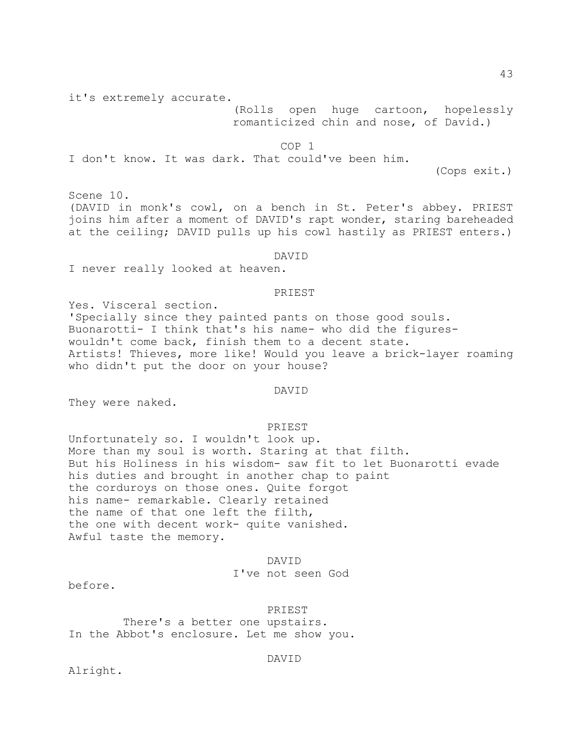it's extremely accurate.

 (Rolls open huge cartoon, hopelessly romanticized chin and nose, of David.)

COP 1

I don't know. It was dark. That could've been him.

(Cops exit.)

Scene 10. (DAVID in monk's cowl, on a bench in St. Peter's abbey. PRIEST joins him after a moment of DAVID's rapt wonder, staring bareheaded at the ceiling; DAVID pulls up his cowl hastily as PRIEST enters.)

#### DAVID

I never really looked at heaven.

### PRIEST

Yes. Visceral section. 'Specially since they painted pants on those good souls. Buonarotti- I think that's his name- who did the figureswouldn't come back, finish them to a decent state. Artists! Thieves, more like! Would you leave a brick-layer roaming who didn't put the door on your house?

### DAVID

They were naked.

#### PRIEST

Unfortunately so. I wouldn't look up. More than my soul is worth. Staring at that filth. But his Holiness in his wisdom- saw fit to let Buonarotti evade his duties and brought in another chap to paint the corduroys on those ones. Quite forgot his name- remarkable. Clearly retained the name of that one left the filth, the one with decent work- quite vanished. Awful taste the memory.

# DAVID I've not seen God

before.

 PRIEST There's a better one upstairs. In the Abbot's enclosure. Let me show you.

DAVID

Alright.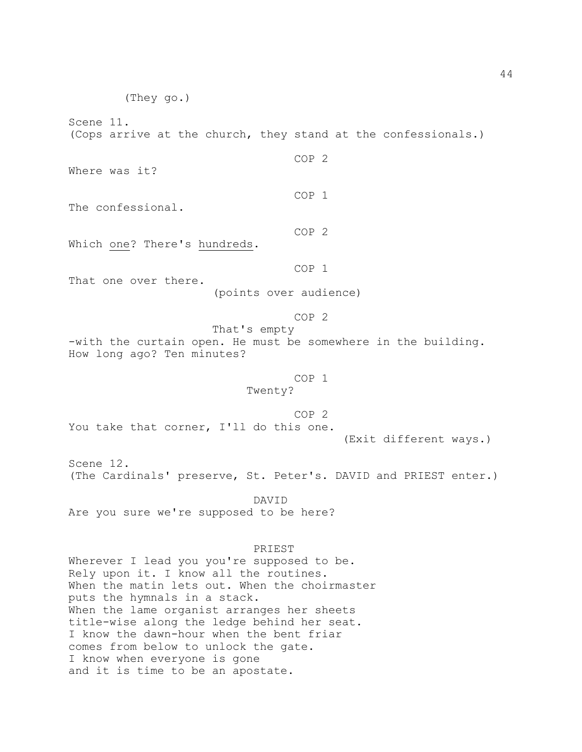(They go.) Scene 11. (Cops arrive at the church, they stand at the confessionals.) COP 2 Where was it? COP 1 The confessional. COP 2 Which one? There's hundreds. COP 1 That one over there. (points over audience) COP 2 That's empty -with the curtain open. He must be somewhere in the building. How long ago? Ten minutes? COP 1 Twenty? COP 2 You take that corner, I'll do this one. (Exit different ways.) Scene 12. (The Cardinals' preserve, St. Peter's. DAVID and PRIEST enter.) DAVID Are you sure we're supposed to be here? PRIEST Wherever I lead you you're supposed to be. Rely upon it. I know all the routines. When the matin lets out. When the choirmaster puts the hymnals in a stack. When the lame organist arranges her sheets title-wise along the ledge behind her seat. I know the dawn-hour when the bent friar comes from below to unlock the gate. I know when everyone is gone

and it is time to be an apostate.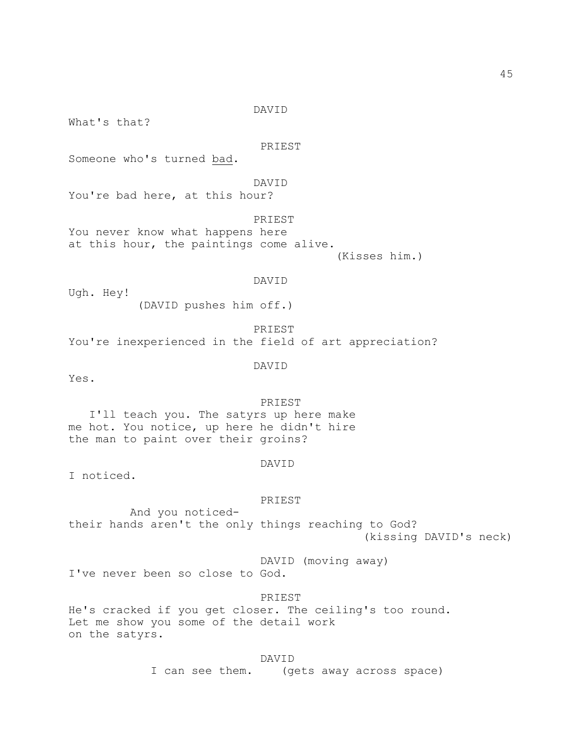DAVID

What's that?

PRIEST

Someone who's turned bad.

DAVID

You're bad here, at this hour?

PRIEST

You never know what happens here at this hour, the paintings come alive.

(Kisses him.)

### DAVID

Ugh. Hey! (DAVID pushes him off.)

 PRIEST You're inexperienced in the field of art appreciation?

DAVID

Yes.

 PRIEST I'll teach you. The satyrs up here make me hot. You notice, up here he didn't hire the man to paint over their groins?

### DAVID

I noticed.

#### PRIEST

 And you noticedtheir hands aren't the only things reaching to God? (kissing DAVID's neck)

DAVID (moving away)

I've never been so close to God.

PRIEST

He's cracked if you get closer. The ceiling's too round. Let me show you some of the detail work on the satyrs.

DAVID

I can see them. (gets away across space)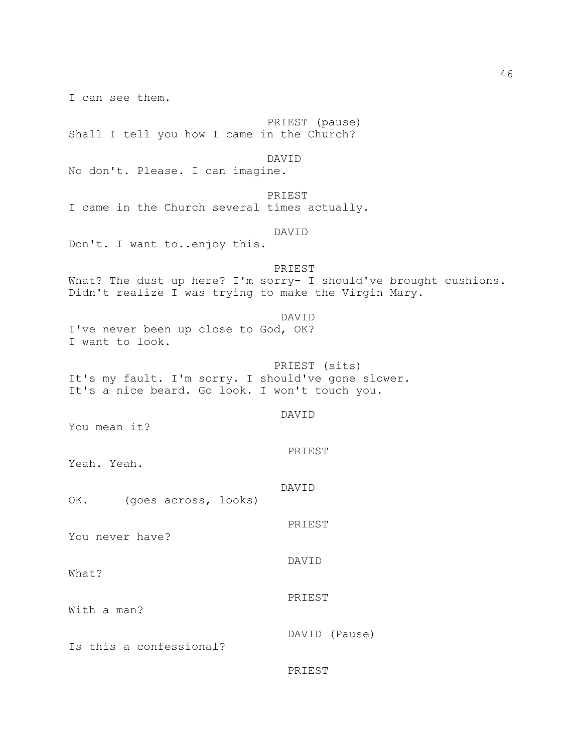I can see them. PRIEST (pause) Shall I tell you how I came in the Church? DAVID No don't. Please. I can imagine. PRIEST I came in the Church several times actually. DAVID Don't. I want to..enjoy this. PRIEST What? The dust up here? I'm sorry- I should've brought cushions. Didn't realize I was trying to make the Virgin Mary. DAVID I've never been up close to God, OK? I want to look. PRIEST (sits) It's my fault. I'm sorry. I should've gone slower. It's a nice beard. Go look. I won't touch you. DAVID You mean it? PRIEST Yeah. Yeah. DAVID OK. (goes across, looks) PRIEST You never have? DAVID What? PRIEST With a man? DAVID (Pause) Is this a confessional? PRIEST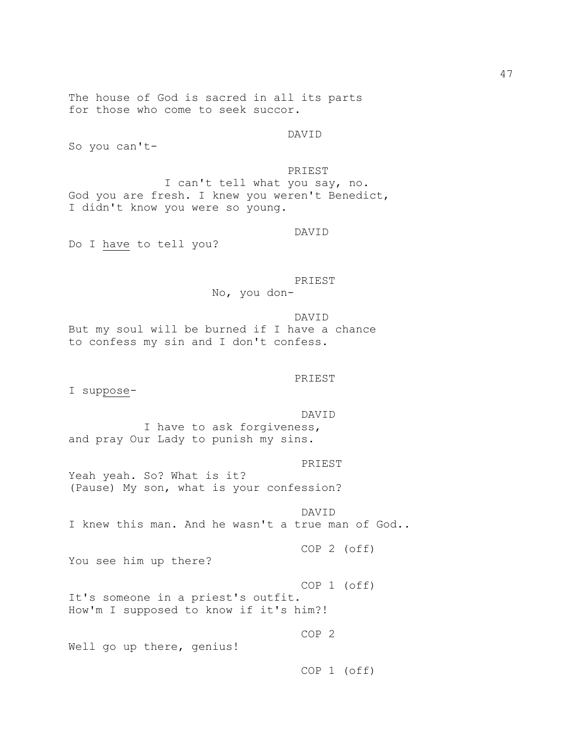The house of God is sacred in all its parts for those who come to seek succor.

DAVID

So you can't-

PRIEST

 I can't tell what you say, no. God you are fresh. I knew you weren't Benedict, I didn't know you were so young.

DAVID

Do I have to tell you?

 PRIEST No, you don-

 DAVID But my soul will be burned if I have a chance to confess my sin and I don't confess.

#### PRIEST

I suppose-

DAVID

 I have to ask forgiveness, and pray Our Lady to punish my sins.

PRIEST

Yeah yeah. So? What is it? (Pause) My son, what is your confession?

 DAVID I knew this man. And he wasn't a true man of God..

COP 2 (off)

You see him up there?

 COP 1 (off) It's someone in a priest's outfit. How'm I supposed to know if it's him?!

COP 2

Well go up there, genius!

COP 1 (off)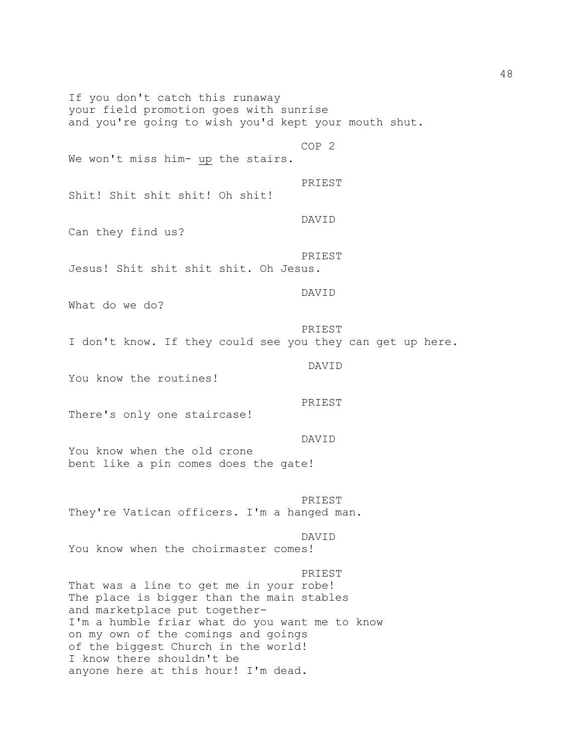If you don't catch this runaway your field promotion goes with sunrise and you're going to wish you'd kept your mouth shut. COP 2 We won't miss him- up the stairs. PRIEST Shit! Shit shit shit! Oh shit! DAVID Can they find us? PRIEST Jesus! Shit shit shit shit. Oh Jesus. DAVID What do we do? PRIEST I don't know. If they could see you they can get up here. DAVID You know the routines! PRIEST There's only one staircase! DAVID You know when the old crone bent like a pin comes does the gate! PRIEST They're Vatican officers. I'm a hanged man. DAVID You know when the choirmaster comes! PRIEST That was a line to get me in your robe! The place is bigger than the main stables and marketplace put together-I'm a humble friar what do you want me to know on my own of the comings and goings of the biggest Church in the world! I know there shouldn't be anyone here at this hour! I'm dead.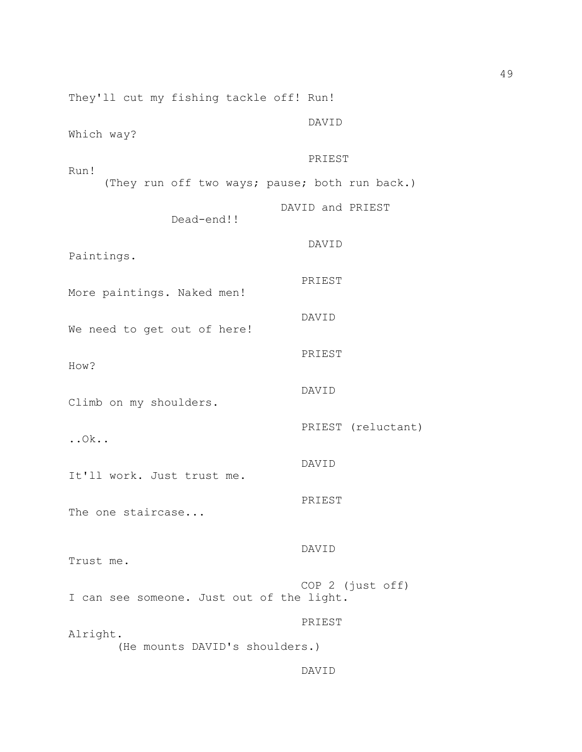They'll cut my fishing tackle off! Run! DAVID Which way? PRIEST Run! (They run off two ways; pause; both run back.) DAVID and PRIEST Dead-end!! DAVID Paintings. PRIEST More paintings. Naked men! DAVID We need to get out of here! PRIEST How? DAVID Climb on my shoulders. PRIEST (reluctant) ..Ok.. DAVID It'll work. Just trust me. PRIEST The one staircase... DAVID Trust me. COP 2 (just off) I can see someone. Just out of the light. PRIEST Alright. (He mounts DAVID's shoulders.)

# DAVID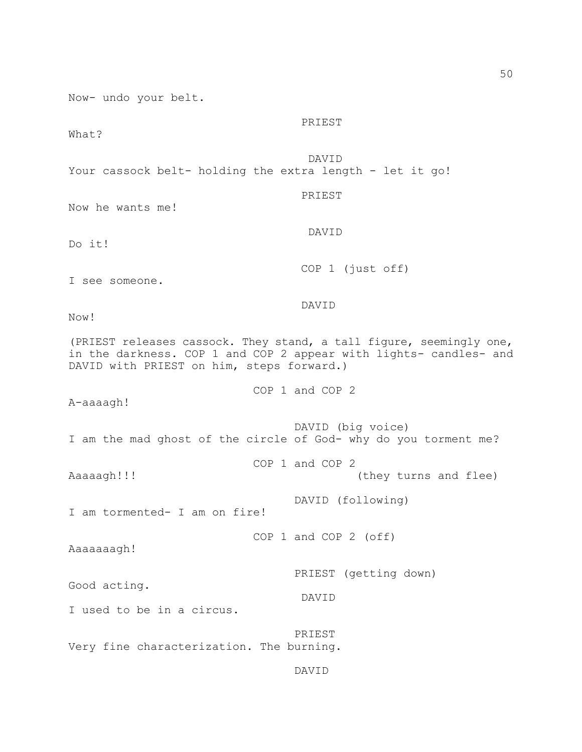Now- undo your belt.

PRIEST

What?

DAVID

Your cassock belt- holding the extra length - let it go!

DAVID

PRIEST

Now he wants me!

Do it!

COP 1 (just off)

I see someone.

DAVID

Now!

(PRIEST releases cassock. They stand, a tall figure, seemingly one, in the darkness. COP 1 and COP 2 appear with lights- candles- and DAVID with PRIEST on him, steps forward.)

COP 1 and COP 2

COP 1 and COP 2

A-aaaagh!

 DAVID (big voice) I am the mad ghost of the circle of God- why do you torment me?

Aaaaagh!!! (they turns and flee)

I am tormented- I am on fire!

COP 1 and COP 2 (off)

DAVID

Aaaaaaagh!

PRIEST (getting down)

DAVID (following)

Good acting.

I used to be in a circus.

 PRIEST Very fine characterization. The burning.

DAVID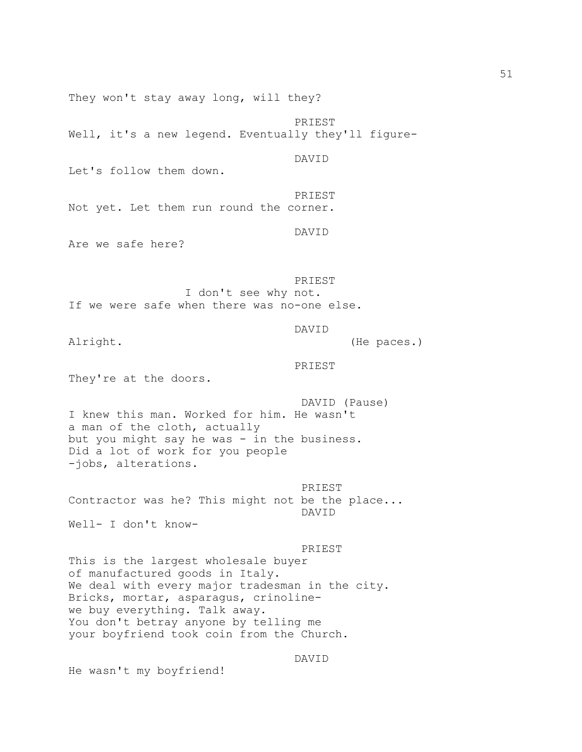They won't stay away long, will they?

 PRIEST Well, it's a new legend. Eventually they'll figure-

DAVID

Let's follow them down.

 PRIEST Not yet. Let them run round the corner.

DAVID

Are we safe here?

 PRIEST I don't see why not. If we were safe when there was no-one else.

DAVID

Alright. (He paces.)

PRIEST

They're at the doors.

 DAVID (Pause) I knew this man. Worked for him. He wasn't a man of the cloth, actually but you might say he was - in the business. Did a lot of work for you people -jobs, alterations.

 PRIEST Contractor was he? This might not be the place... DAVID

Well- I don't know-

### PRIEST

This is the largest wholesale buyer of manufactured goods in Italy. We deal with every major tradesman in the city. Bricks, mortar, asparagus, crinolinewe buy everything. Talk away. You don't betray anyone by telling me your boyfriend took coin from the Church.

DAVID

He wasn't my boyfriend!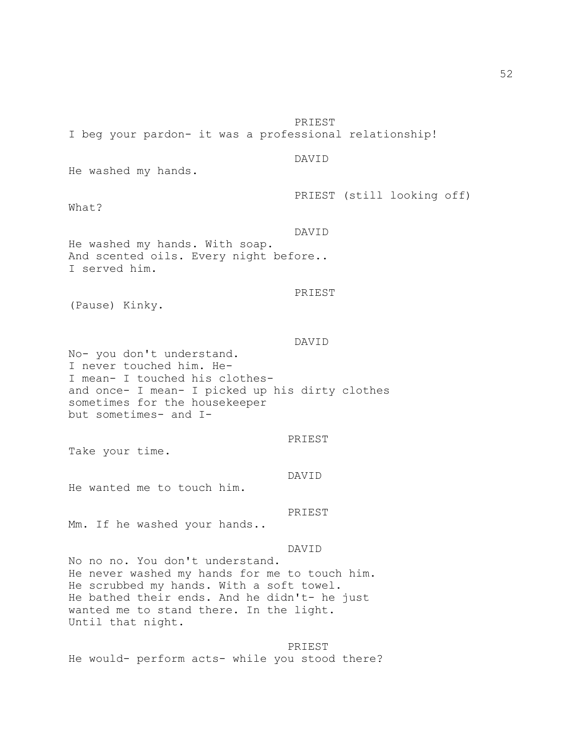PRIEST I beg your pardon- it was a professional relationship! DAVID He washed my hands. PRIEST (still looking off) What? DAVID He washed my hands. With soap. And scented oils. Every night before.. I served him. PRIEST (Pause) Kinky. DAVID No- you don't understand. I never touched him. He-I mean- I touched his clothesand once- I mean- I picked up his dirty clothes sometimes for the housekeeper but sometimes- and I- PRIEST Take your time. DAVID He wanted me to touch him. PRIEST Mm. If he washed your hands.. DAVID No no no. You don't understand. He never washed my hands for me to touch him. He scrubbed my hands. With a soft towel. He bathed their ends. And he didn't- he just wanted me to stand there. In the light. Until that night.

 PRIEST He would- perform acts- while you stood there?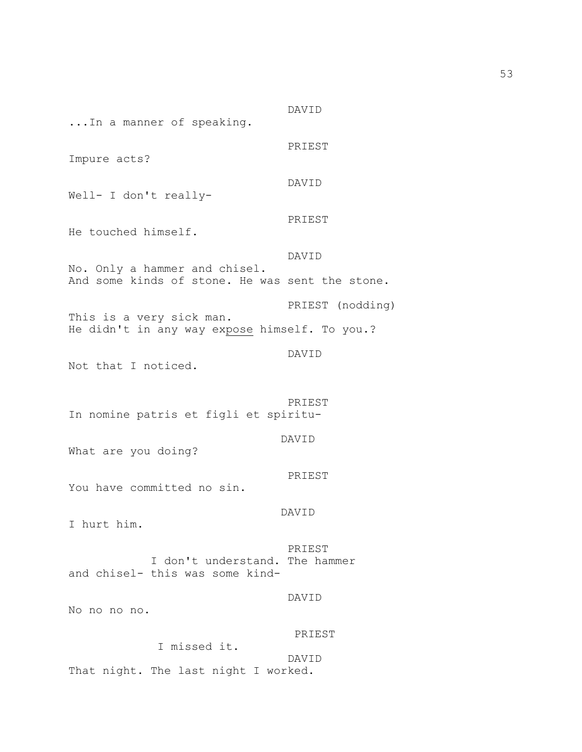DAVID ...In a manner of speaking. PRIEST Impure acts? DAVID Well- I don't really- PRIEST He touched himself. DAVID No. Only a hammer and chisel. And some kinds of stone. He was sent the stone. PRIEST (nodding) This is a very sick man. He didn't in any way expose himself. To you.? DAVID Not that I noticed. PRIEST In nomine patris et figli et spiritu- DAVID What are you doing? PRIEST You have committed no sin. DAVID I hurt him. PRIEST I don't understand. The hammer and chisel- this was some kind- DAVID No no no no. PRIEST I missed it. DAVID That night. The last night I worked.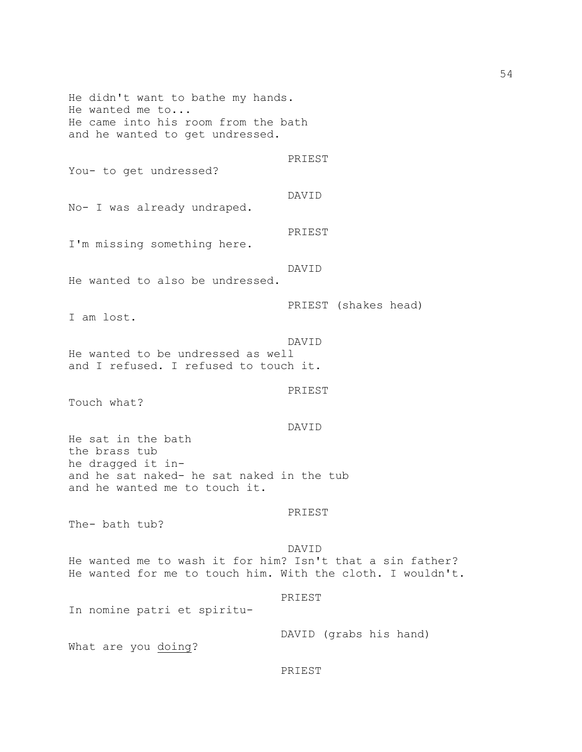He didn't want to bathe my hands. He wanted me to... He came into his room from the bath and he wanted to get undressed. PRIEST You- to get undressed? DAVID No- I was already undraped. PRIEST I'm missing something here. DAVID He wanted to also be undressed. PRIEST (shakes head) I am lost. DAVID He wanted to be undressed as well and I refused. I refused to touch it. PRIEST Touch what? DAVID He sat in the bath the brass tub he dragged it inand he sat naked- he sat naked in the tub and he wanted me to touch it. PRIEST The- bath tub? DAVID He wanted me to wash it for him? Isn't that a sin father? He wanted for me to touch him. With the cloth. I wouldn't. PRIEST In nomine patri et spiritu- DAVID (grabs his hand)

What are you doing?

#### PRIEST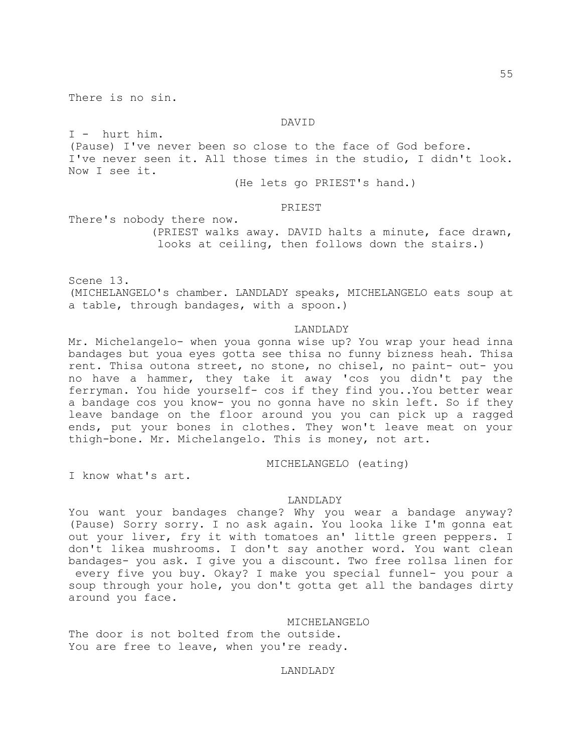There is no sin.

### DAVID

I - hurt him. (Pause) I've never been so close to the face of God before. I've never seen it. All those times in the studio, I didn't look. Now I see it.

(He lets go PRIEST's hand.)

### PRIEST

There's nobody there now. (PRIEST walks away. DAVID halts a minute, face drawn, looks at ceiling, then follows down the stairs.)

Scene 13. (MICHELANGELO's chamber. LANDLADY speaks, MICHELANGELO eats soup at a table, through bandages, with a spoon.)

### LANDLADY

Mr. Michelangelo- when youa gonna wise up? You wrap your head inna bandages but youa eyes gotta see thisa no funny bizness heah. Thisa rent. Thisa outona street, no stone, no chisel, no paint- out- you no have a hammer, they take it away 'cos you didn't pay the ferryman. You hide yourself- cos if they find you..You better wear a bandage cos you know- you no gonna have no skin left. So if they leave bandage on the floor around you you can pick up a ragged ends, put your bones in clothes. They won't leave meat on your thigh-bone. Mr. Michelangelo. This is money, not art.

MICHELANGELO (eating)

I know what's art.

### LANDLADY

You want your bandages change? Why you wear a bandage anyway? (Pause) Sorry sorry. I no ask again. You looka like I'm gonna eat out your liver, fry it with tomatoes an' little green peppers. I don't likea mushrooms. I don't say another word. You want clean bandages- you ask. I give you a discount. Two free rollsa linen for every five you buy. Okay? I make you special funnel- you pour a soup through your hole, you don't gotta get all the bandages dirty around you face.

### MICHELANGELO

The door is not bolted from the outside. You are free to leave, when you're ready.

LANDLADY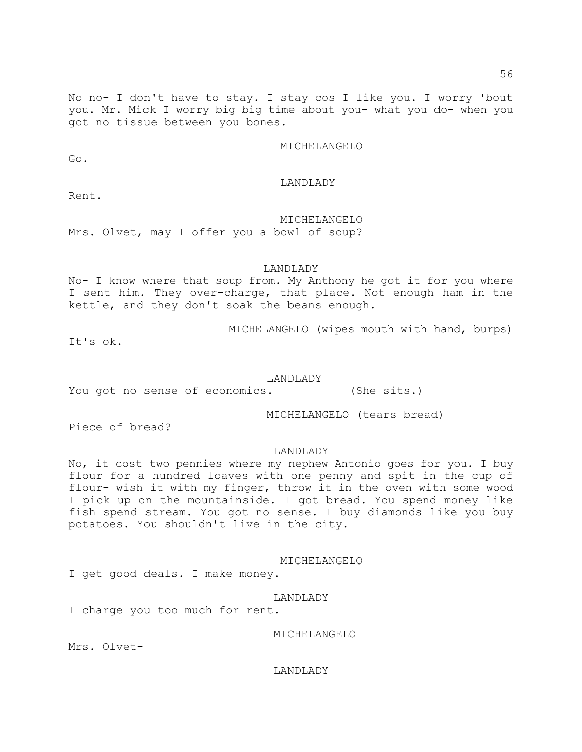No no- I don't have to stay. I stay cos I like you. I worry 'bout you. Mr. Mick I worry big big time about you- what you do- when you got no tissue between you bones.

MICHELANGELO

Go.

### LANDLADY

### MICHELANGELO

Mrs. Olvet, may I offer you a bowl of soup?

## LANDLADY

No- I know where that soup from. My Anthony he got it for you where I sent him. They over-charge, that place. Not enough ham in the kettle, and they don't soak the beans enough.

MICHELANGELO (wipes mouth with hand, burps)

It's ok.

#### LANDLADY

You got no sense of economics. (She sits.)

MICHELANGELO (tears bread)

Piece of bread?

#### LANDLADY

No, it cost two pennies where my nephew Antonio goes for you. I buy flour for a hundred loaves with one penny and spit in the cup of flour- wish it with my finger, throw it in the oven with some wood I pick up on the mountainside. I got bread. You spend money like fish spend stream. You got no sense. I buy diamonds like you buy potatoes. You shouldn't live in the city.

#### MICHELANGELO

I get good deals. I make money.

### LANDLADY

I charge you too much for rent.

MICHELANGELO

Mrs. Olvet-

#### LANDLADY

Rent.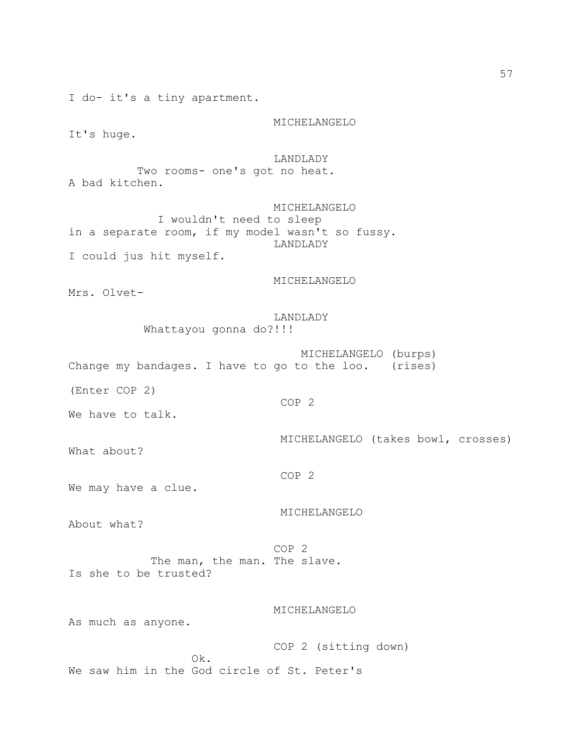I do- it's a tiny apartment.

MICHELANGELO

It's huge.

LANDLADY

 Two rooms- one's got no heat. A bad kitchen.

 MICHELANGELO I wouldn't need to sleep in a separate room, if my model wasn't so fussy. LANDLADY I could jus hit myself.

MICHELANGELO

Mrs. Olvet-

 LANDLADY Whattayou gonna do?!!!

 MICHELANGELO (burps) Change my bandages. I have to go to the loo. (rises)

(Enter COP 2)

COP 2

We have to talk.

What about?

COP 2

MICHELANGELO (takes bowl, crosses)

We may have a clue.

About what?

 COP 2 The man, the man. The slave. Is she to be trusted?

MICHELANGELO

MICHELANGELO

As much as anyone.

 COP 2 (sitting down) Ok. We saw him in the God circle of St. Peter's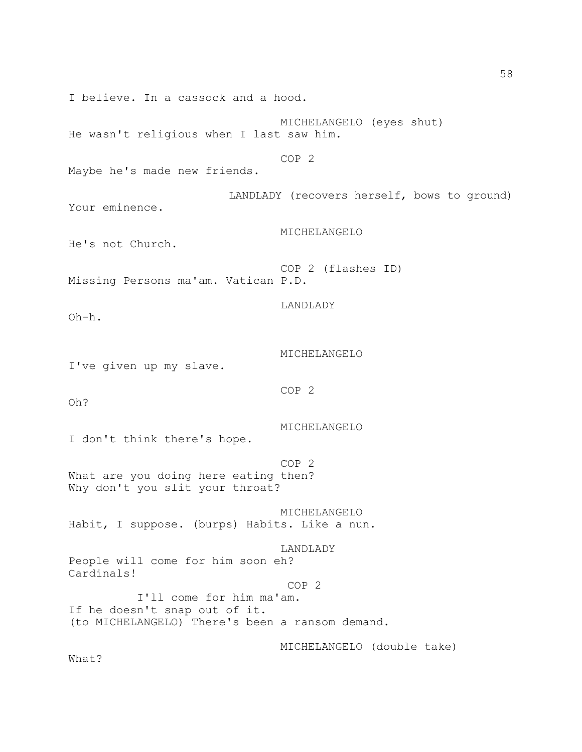I believe. In a cassock and a hood. MICHELANGELO (eyes shut) He wasn't religious when I last saw him. COP 2 Maybe he's made new friends. LANDLADY (recovers herself, bows to ground) Your eminence. MICHELANGELO He's not Church. COP 2 (flashes ID) Missing Persons ma'am. Vatican P.D. LANDLADY Oh-h. MICHELANGELO I've given up my slave. COP 2 Oh? MICHELANGELO I don't think there's hope. COP 2 What are you doing here eating then? Why don't you slit your throat? MICHELANGELO Habit, I suppose. (burps) Habits. Like a nun. LANDLADY People will come for him soon eh? Cardinals! COP 2 I'll come for him ma'am. If he doesn't snap out of it. (to MICHELANGELO) There's been a ransom demand. MICHELANGELO (double take) What?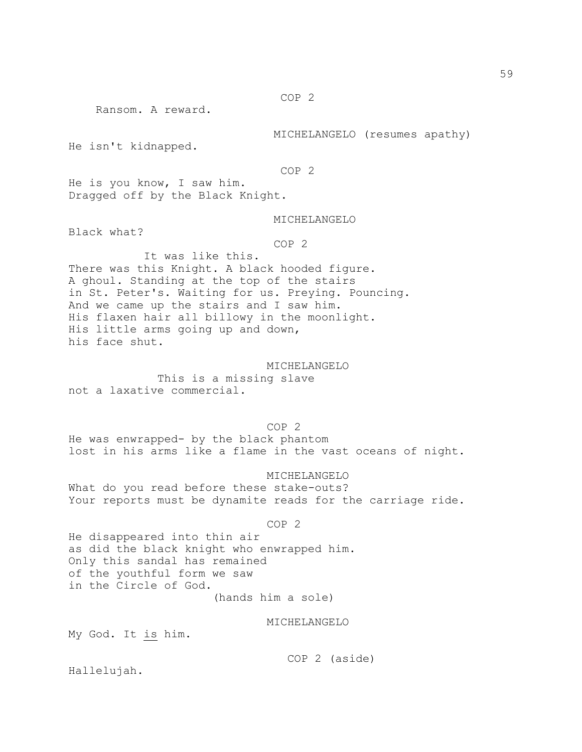COP 2

Ransom. A reward.

MICHELANGELO (resumes apathy)

He isn't kidnapped.

COP 2

He is you know, I saw him. Dragged off by the Black Knight.

### MICHELANGELO

Black what?

COP 2

 It was like this. There was this Knight. A black hooded figure. A ghoul. Standing at the top of the stairs in St. Peter's. Waiting for us. Preying. Pouncing. And we came up the stairs and I saw him. His flaxen hair all billowy in the moonlight. His little arms going up and down, his face shut.

 MICHELANGELO This is a missing slave not a laxative commercial.

 COP 2 He was enwrapped- by the black phantom lost in his arms like a flame in the vast oceans of night.

 MICHELANGELO What do you read before these stake-outs? Your reports must be dynamite reads for the carriage ride.

#### COP 2

He disappeared into thin air as did the black knight who enwrapped him. Only this sandal has remained of the youthful form we saw in the Circle of God.

(hands him a sole)

## MICHELANGELO

My God. It is him.

COP 2 (aside)

Hallelujah.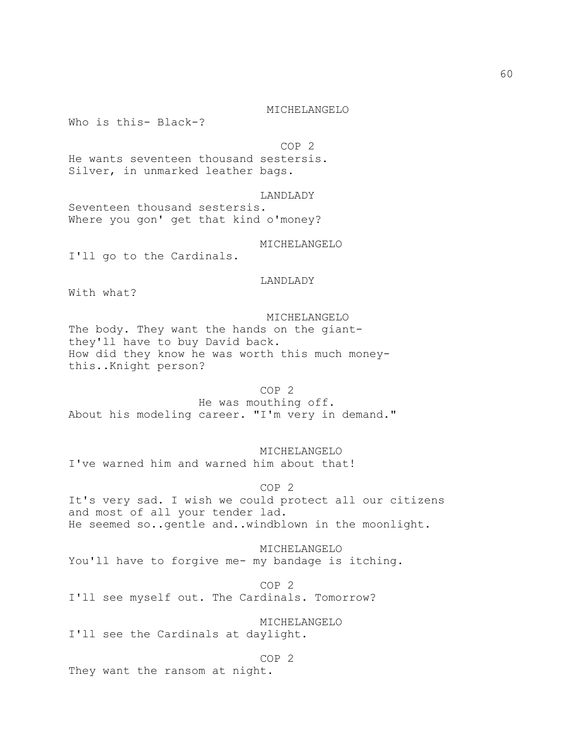Who is this- Black-?

COP 2

He wants seventeen thousand sestersis. Silver, in unmarked leather bags.

LANDLADY

Seventeen thousand sestersis. Where you gon' get that kind o'money?

MICHELANGELO

I'll go to the Cardinals.

LANDLADY

With what?

 MICHELANGELO The body. They want the hands on the giantthey'll have to buy David back. How did they know he was worth this much moneythis..Knight person?

 COP 2 He was mouthing off. About his modeling career. "I'm very in demand."

 MICHELANGELO I've warned him and warned him about that!

 COP 2 It's very sad. I wish we could protect all our citizens and most of all your tender lad. He seemed so..gentle and..windblown in the moonlight.

 MICHELANGELO You'll have to forgive me- my bandage is itching.

 COP 2 I'll see myself out. The Cardinals. Tomorrow?

 MICHELANGELO I'll see the Cardinals at daylight.

 COP 2 They want the ransom at night.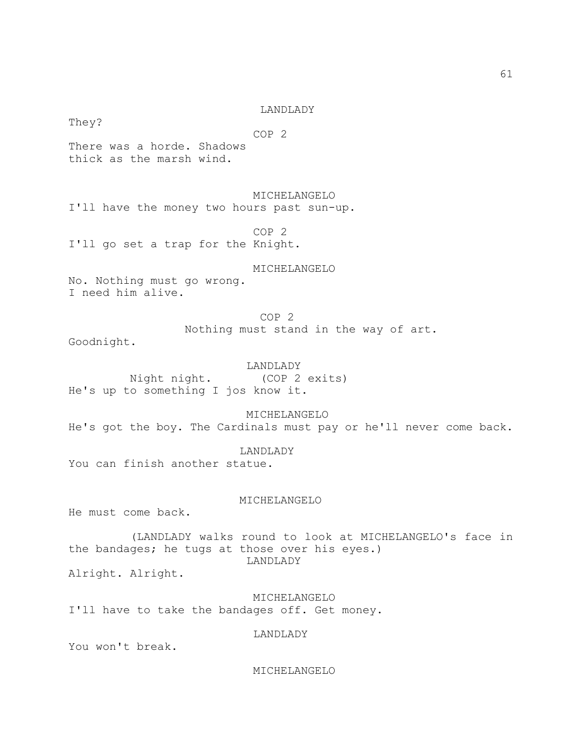### LANDLADY

 COP 2 There was a horde. Shadows thick as the marsh wind.

MICHELANGELO

I'll have the money two hours past sun-up.

 COP 2 I'll go set a trap for the Knight.

MICHELANGELO

No. Nothing must go wrong. I need him alive.

> COP 2 Nothing must stand in the way of art.

Goodnight.

They?

 LANDLADY Night night. (COP 2 exits) He's up to something I jos know it.

 MICHELANGELO He's got the boy. The Cardinals must pay or he'll never come back.

LANDLADY

You can finish another statue.

MICHELANGELO

He must come back.

 (LANDLADY walks round to look at MICHELANGELO's face in the bandages; he tugs at those over his eyes.) LANDLADY

Alright. Alright.

 MICHELANGELO I'll have to take the bandages off. Get money.

LANDLADY

You won't break.

MICHELANGELO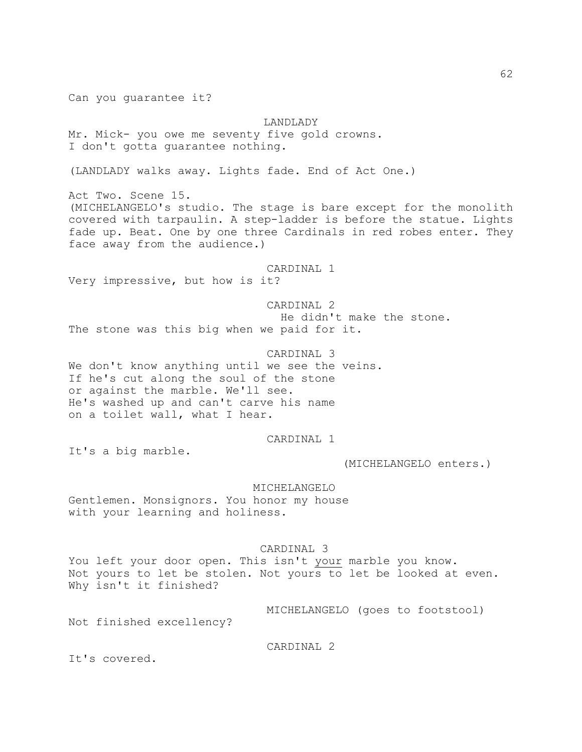Can you guarantee it?

LANDLADY Mr. Mick- you owe me seventy five gold crowns. I don't gotta guarantee nothing.

(LANDLADY walks away. Lights fade. End of Act One.)

Act Two. Scene 15. (MICHELANGELO's studio. The stage is bare except for the monolith covered with tarpaulin. A step-ladder is before the statue. Lights fade up. Beat. One by one three Cardinals in red robes enter. They face away from the audience.)

CARDINAL 1

Very impressive, but how is it?

 CARDINAL 2 He didn't make the stone. The stone was this big when we paid for it.

 CARDINAL 3 We don't know anything until we see the veins. If he's cut along the soul of the stone or against the marble. We'll see. He's washed up and can't carve his name on a toilet wall, what I hear.

## CARDINAL 1

It's a big marble.

(MICHELANGELO enters.)

 MICHELANGELO Gentlemen. Monsignors. You honor my house with your learning and holiness.

## CARDINAL 3

You left your door open. This isn't your marble you know. Not yours to let be stolen. Not yours to let be looked at even. Why isn't it finished?

MICHELANGELO (goes to footstool)

Not finished excellency?

CARDINAL 2

It's covered.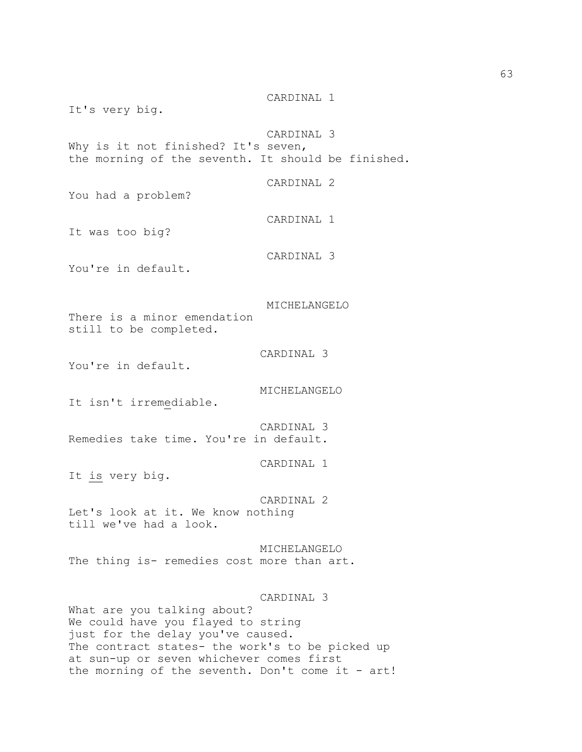CARDINAL 1 It's very big. CARDINAL 3 Why is it not finished? It's seven, the morning of the seventh. It should be finished. CARDINAL 2 You had a problem? CARDINAL 1 It was too big? CARDINAL 3 You're in default. MICHELANGELO There is a minor emendation still to be completed. CARDINAL 3 You're in default. MICHELANGELO It isn't irremediable. CARDINAL 3 Remedies take time. You're in default. CARDINAL 1 It is very big. CARDINAL 2 Let's look at it. We know nothing till we've had a look. MICHELANGELO The thing is- remedies cost more than art. CARDINAL 3 What are you talking about? We could have you flayed to string just for the delay you've caused.

The contract states- the work's to be picked up at sun-up or seven whichever comes first the morning of the seventh. Don't come it -  $art!$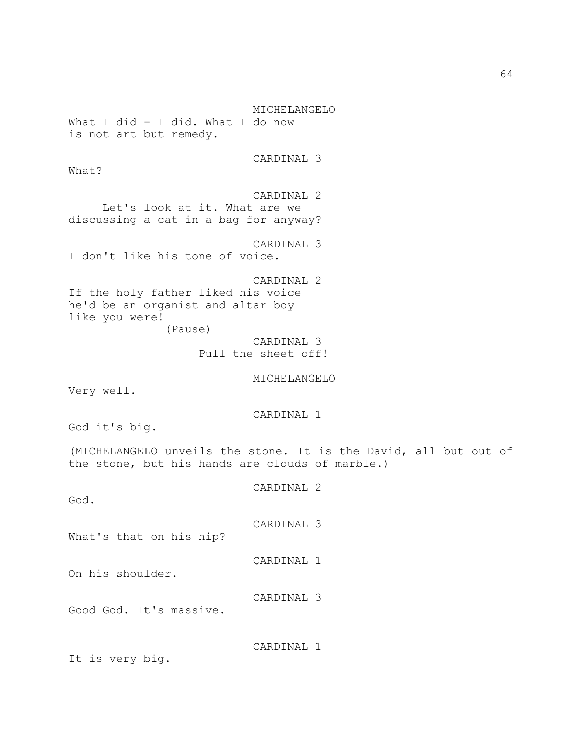MICHELANGELO What I did - I did. What I do now is not art but remedy. CARDINAL 3 What? CARDINAL 2 Let's look at it. What are we discussing a cat in a bag for anyway? CARDINAL 3 I don't like his tone of voice. CARDINAL 2 If the holy father liked his voice he'd be an organist and altar boy like you were! (Pause) CARDINAL 3 Pull the sheet off! MICHELANGELO Very well. CARDINAL 1 God it's big. (MICHELANGELO unveils the stone. It is the David, all but out of the stone, but his hands are clouds of marble.)

God. CARDINAL 3 What's that on his hip? CARDINAL 1 On his shoulder. CARDINAL 3 Good God. It's massive. CARDINAL 1 It is very big.

CARDINAL 2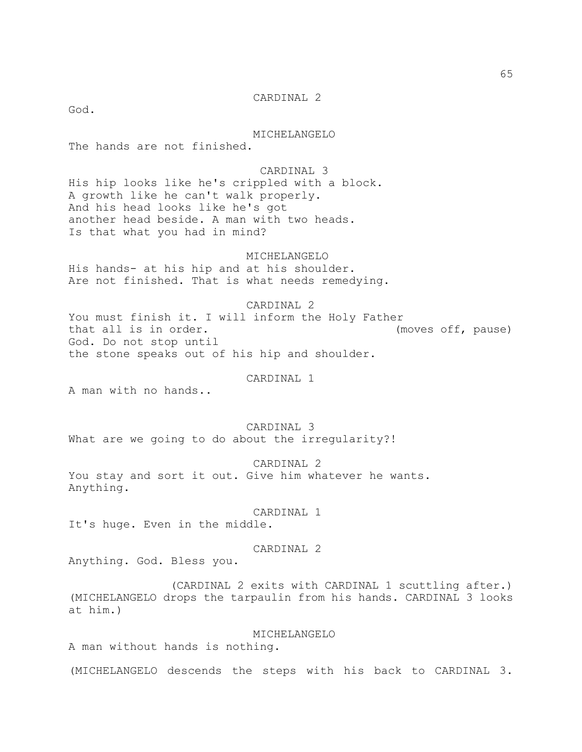CARDINAL 2

God.

MICHELANGELO

The hands are not finished.

 CARDINAL 3 His hip looks like he's crippled with a block. A growth like he can't walk properly. And his head looks like he's got another head beside. A man with two heads. Is that what you had in mind?

MICHELANGELO

His hands- at his hip and at his shoulder. Are not finished. That is what needs remedying.

CARDINAL 2

You must finish it. I will inform the Holy Father that all is in order. (moves off, pause) God. Do not stop until the stone speaks out of his hip and shoulder.

CARDINAL 1

A man with no hands..

CARDINAL 3

What are we going to do about the irregularity?!

 CARDINAL 2 You stay and sort it out. Give him whatever he wants. Anything.

CARDINAL 1

It's huge. Even in the middle.

## CARDINAL 2

Anything. God. Bless you.

 (CARDINAL 2 exits with CARDINAL 1 scuttling after.) (MICHELANGELO drops the tarpaulin from his hands. CARDINAL 3 looks at him.)

MICHELANGELO

A man without hands is nothing.

(MICHELANGELO descends the steps with his back to CARDINAL 3.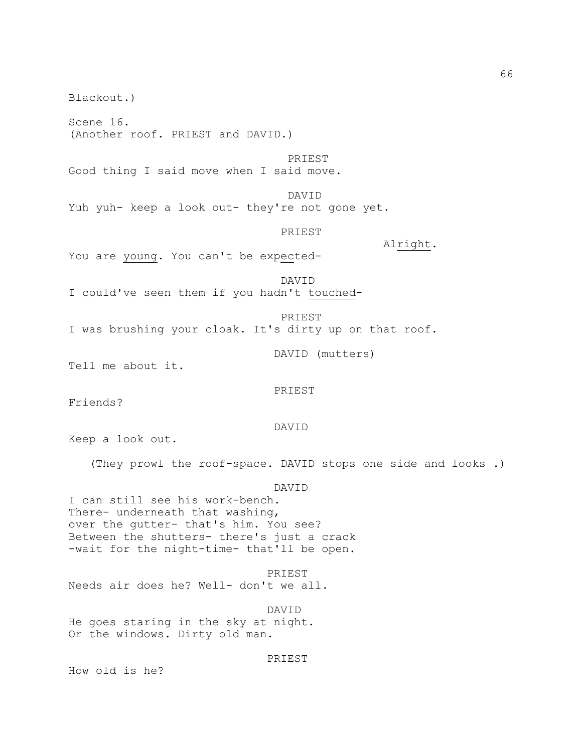Blackout.) Scene 16. (Another roof. PRIEST and DAVID.) PRIEST Good thing I said move when I said move. DAVID Yuh yuh- keep a look out- they're not gone yet. PRIEST Alright. You are young. You can't be expected- DAVID I could've seen them if you hadn't touched- PRIEST I was brushing your cloak. It's dirty up on that roof. DAVID (mutters) Tell me about it. PRIEST Friends? DAVID Keep a look out. (They prowl the roof-space. DAVID stops one side and looks .) DAVID I can still see his work-bench. There- underneath that washing, over the gutter- that's him. You see? Between the shutters- there's just a crack -wait for the night-time- that'll be open. PRIEST Needs air does he? Well- don't we all. DAVID He goes staring in the sky at night. Or the windows. Dirty old man. PRIEST How old is he?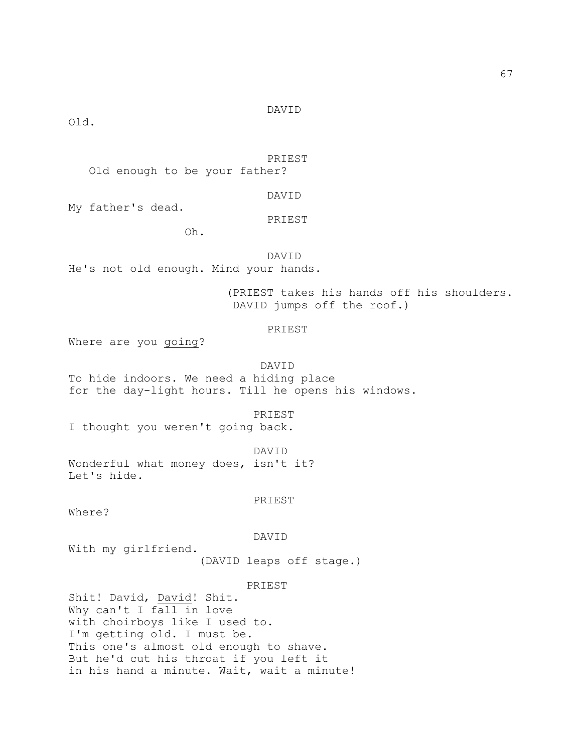Old.

DAVID

PRIEST

Old enough to be your father?

DAVID

My father's dead.

PRIEST

Oh.

 DAVID He's not old enough. Mind your hands.

> (PRIEST takes his hands off his shoulders. DAVID jumps off the roof.)

# PRIEST

Where are you going?

 DAVID To hide indoors. We need a hiding place for the day-light hours. Till he opens his windows.

PRIEST

I thought you weren't going back.

DAVID

Wonderful what money does, isn't it? Let's hide.

PRIEST

Where?

DAVID

With my girlfriend.

(DAVID leaps off stage.)

PRIEST

Shit! David, David! Shit. Why can't I fall in love with choirboys like I used to. I'm getting old. I must be. This one's almost old enough to shave. But he'd cut his throat if you left it in his hand a minute. Wait, wait a minute!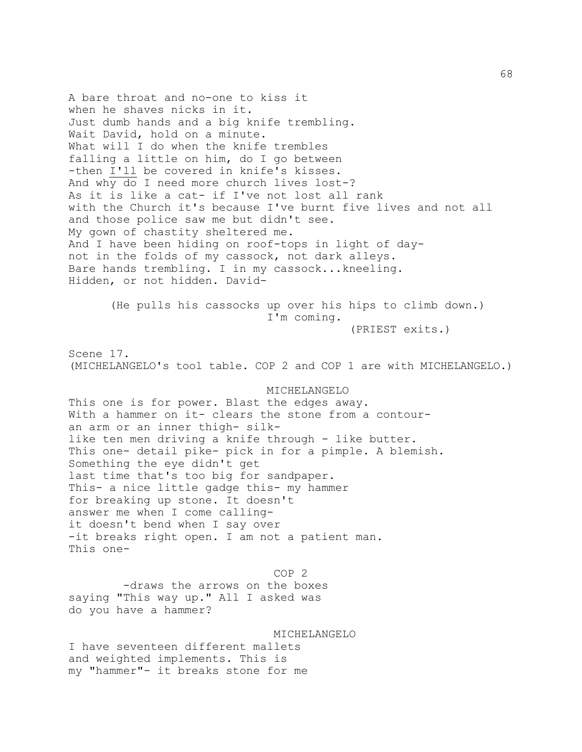A bare throat and no-one to kiss it when he shaves nicks in it. Just dumb hands and a big knife trembling. Wait David, hold on a minute. What will I do when the knife trembles falling a little on him, do I go between -then I'll be covered in knife's kisses. And why do I need more church lives lost-? As it is like a cat- if I've not lost all rank with the Church it's because I've burnt five lives and not all and those police saw me but didn't see. My gown of chastity sheltered me. And I have been hiding on roof-tops in light of daynot in the folds of my cassock, not dark alleys. Bare hands trembling. I in my cassock...kneeling. Hidden, or not hidden. David- (He pulls his cassocks up over his hips to climb down.) I'm coming. (PRIEST exits.) Scene 17. (MICHELANGELO's tool table. COP 2 and COP 1 are with MICHELANGELO.) MICHELANGELO This one is for power. Blast the edges away. With a hammer on it- clears the stone from a contouran arm or an inner thigh- silklike ten men driving a knife through - like butter. This one- detail pike- pick in for a pimple. A blemish. Something the eye didn't get last time that's too big for sandpaper. This- a nice little gadge this- my hammer for breaking up stone. It doesn't answer me when I come callingit doesn't bend when I say over -it breaks right open. I am not a patient man. This one- COP 2 -draws the arrows on the boxes saying "This way up." All I asked was do you have a hammer? MICHELANGELO I have seventeen different mallets and weighted implements. This is my "hammer"- it breaks stone for me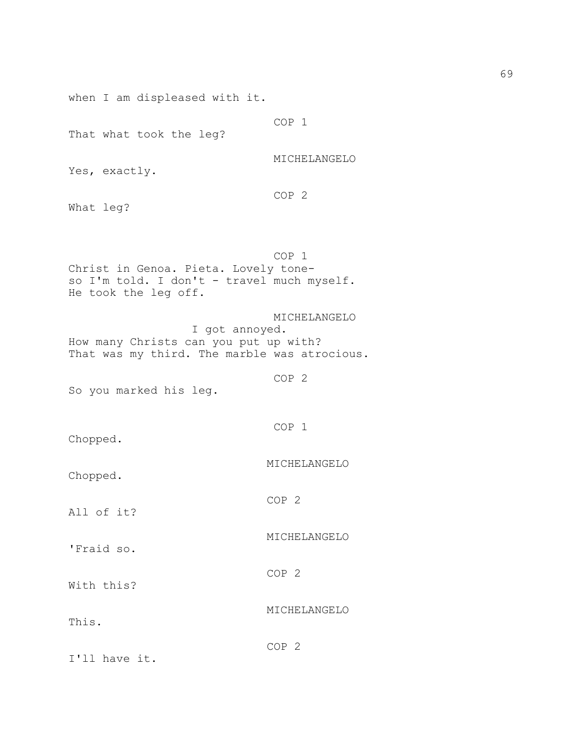when I am displeased with it.

That what took the leg?

MICHELANGELO

Yes, exactly.

COP 2

COP 1

What leg?

 COP 1 Christ in Genoa. Pieta. Lovely toneso I'm told. I don't - travel much myself. He took the leg off.

 MICHELANGELO I got annoyed. How many Christs can you put up with? That was my third. The marble was atrocious.

COP 2

COP 1

COP 2

So you marked his leg.

Chopped.

MICHELANGELO

MICHELANGELO

MICHELANGELO

Chopped.

All of it?

'Fraid so.

With this?

This.

COP 2

COP 2

I'll have it.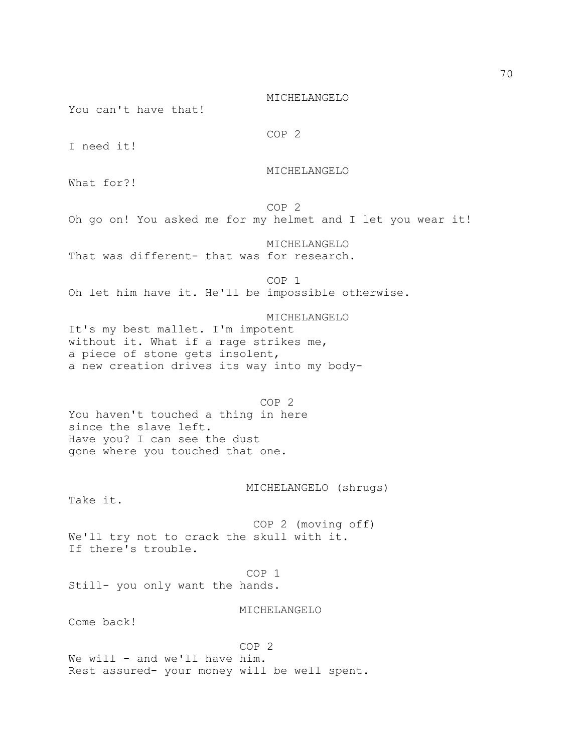MICHELANGELO

You can't have that!

COP 2

I need it!

MICHELANGELO

What for?!

 COP 2 Oh go on! You asked me for my helmet and I let you wear it!

 MICHELANGELO That was different- that was for research.

 COP 1 Oh let him have it. He'll be impossible otherwise.

 MICHELANGELO It's my best mallet. I'm impotent without it. What if a rage strikes me, a piece of stone gets insolent, a new creation drives its way into my body-

 COP 2 You haven't touched a thing in here since the slave left. Have you? I can see the dust gone where you touched that one.

MICHELANGELO (shrugs)

Take it.

 COP 2 (moving off) We'll try not to crack the skull with it. If there's trouble.

 COP 1 Still- you only want the hands.

MICHELANGELO

Come back!

 COP 2 We will - and we'll have him. Rest assured- your money will be well spent.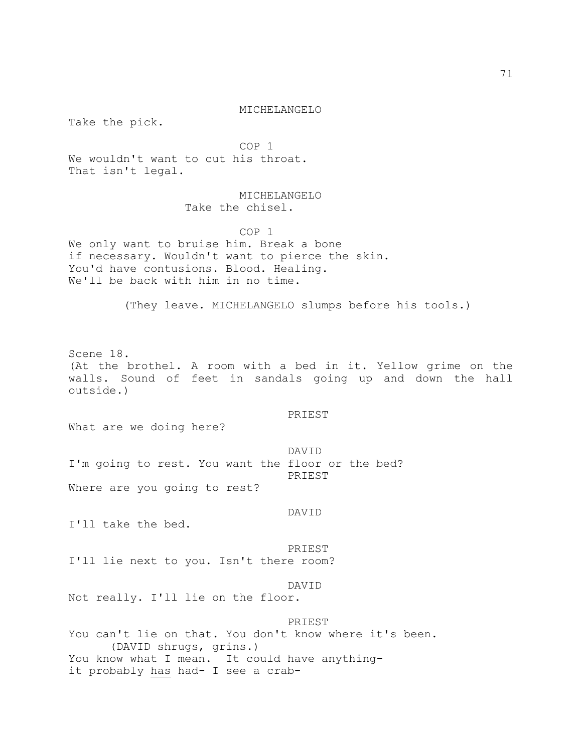Take the pick.

 COP 1 We wouldn't want to cut his throat.

That isn't legal.

# MICHELANGELO Take the chisel.

 COP 1 We only want to bruise him. Break a bone if necessary. Wouldn't want to pierce the skin. You'd have contusions. Blood. Healing. We'll be back with him in no time.

(They leave. MICHELANGELO slumps before his tools.)

Scene 18. (At the brothel. A room with a bed in it. Yellow grime on the walls. Sound of feet in sandals going up and down the hall outside.)

### PRIEST

What are we doing here?

 DAVID I'm going to rest. You want the floor or the bed? PRIEST Where are you going to rest?

#### DAVID

I'll take the bed.

#### PRIEST

I'll lie next to you. Isn't there room?

## DAVID

Not really. I'll lie on the floor.

## PRIEST

You can't lie on that. You don't know where it's been. (DAVID shrugs, grins.) You know what I mean. It could have anythingit probably has had- I see a crab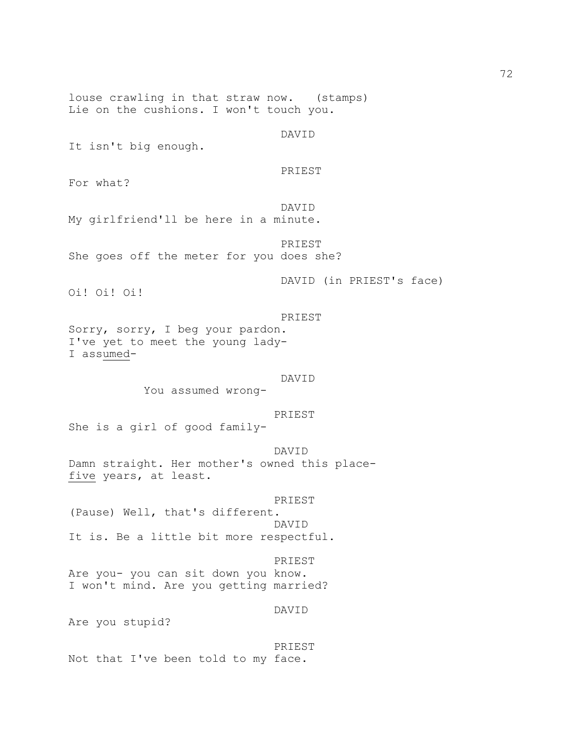louse crawling in that straw now. (stamps) Lie on the cushions. I won't touch you. DAVID It isn't big enough. PRIEST For what? DAVID My girlfriend'll be here in a minute. PRIEST She goes off the meter for you does she? DAVID (in PRIEST's face) Oi! Oi! Oi! PRIEST Sorry, sorry, I beg your pardon. I've yet to meet the young lady-I assumed- DAVID You assumed wrong- PRIEST She is a girl of good family- DAVID Damn straight. Her mother's owned this placefive years, at least. PRIEST (Pause) Well, that's different. DAVID It is. Be a little bit more respectful. PRIEST Are you- you can sit down you know. I won't mind. Are you getting married? DAVID Are you stupid? PRIEST Not that I've been told to my face.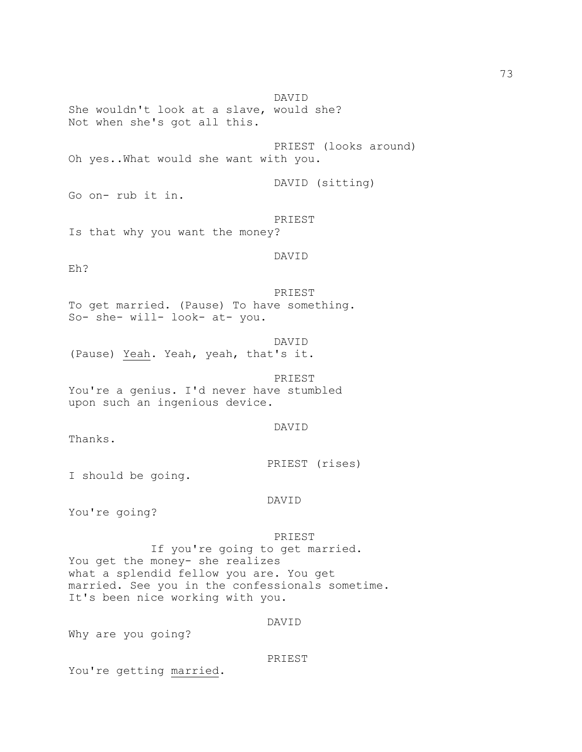DAVID She wouldn't look at a slave, would she? Not when she's got all this. PRIEST (looks around) Oh yes..What would she want with you. DAVID (sitting) Go on- rub it in. PRIEST Is that why you want the money? DAVID Eh? PRIEST To get married. (Pause) To have something. So- she- will- look- at- you. DAVID (Pause) Yeah. Yeah, yeah, that's it. PRIEST You're a genius. I'd never have stumbled upon such an ingenious device. DAVID Thanks. PRIEST (rises) I should be going. DAVID You're going? PRIEST If you're going to get married. You get the money- she realizes what a splendid fellow you are. You get married. See you in the confessionals sometime. It's been nice working with you. DAVID Why are you going?

PRIEST

You're getting married.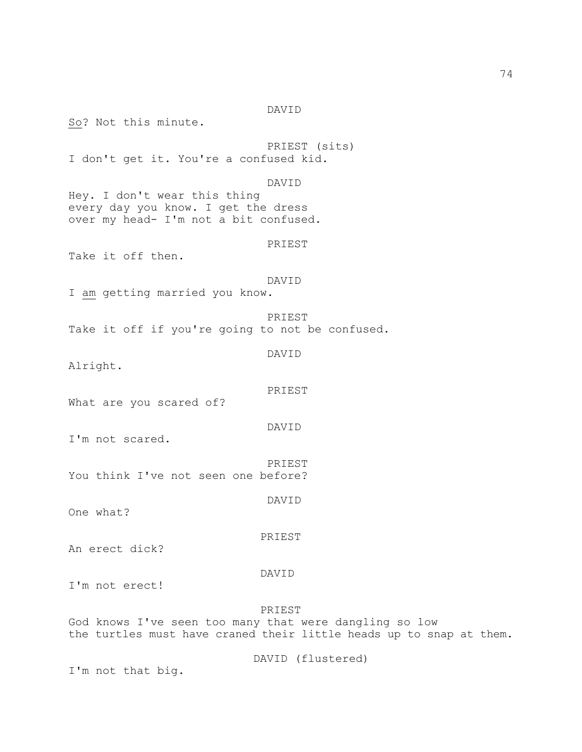So? Not this minute. PRIEST (sits) I don't get it. You're a confused kid. DAVID Hey. I don't wear this thing every day you know. I get the dress over my head- I'm not a bit confused. PRIEST Take it off then. DAVID I am getting married you know. PRIEST Take it off if you're going to not be confused. DAVID Alright. PRIEST What are you scared of? DAVID I'm not scared. PRIEST You think I've not seen one before? DAVID One what? PRIEST An erect dick? DAVID I'm not erect! PRIEST God knows I've seen too many that were dangling so low the turtles must have craned their little heads up to snap at them. DAVID (flustered) I'm not that big.

DAVID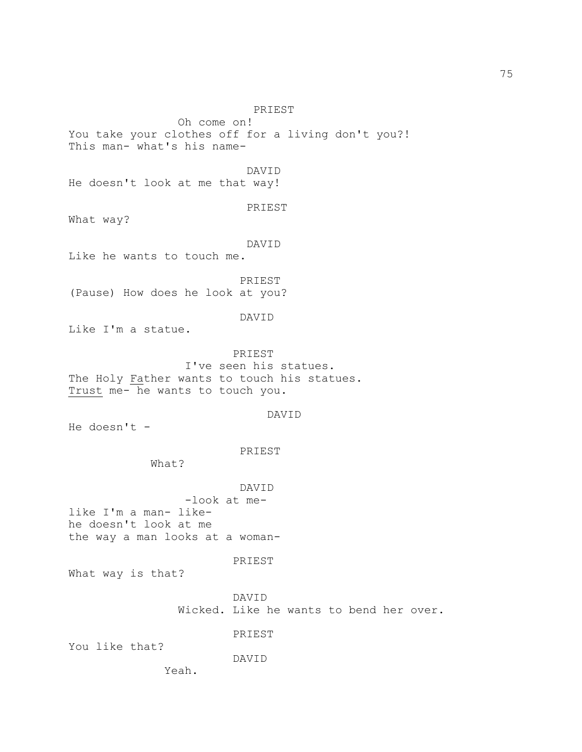PRIEST Oh come on! You take your clothes off for a living don't you?! This man- what's his name- DAVID He doesn't look at me that way! PRIEST What way? DAVID Like he wants to touch me. PRIEST (Pause) How does he look at you? DAVID Like I'm a statue. PRIEST I've seen his statues. The Holy Father wants to touch his statues. Trust me- he wants to touch you. DAVID He doesn't - PRIEST What? DAVID -look at melike I'm a man- likehe doesn't look at me the way a man looks at a woman- PRIEST What way is that? DAVID Wicked. Like he wants to bend her over. PRIEST You like that? DAVID Yeah.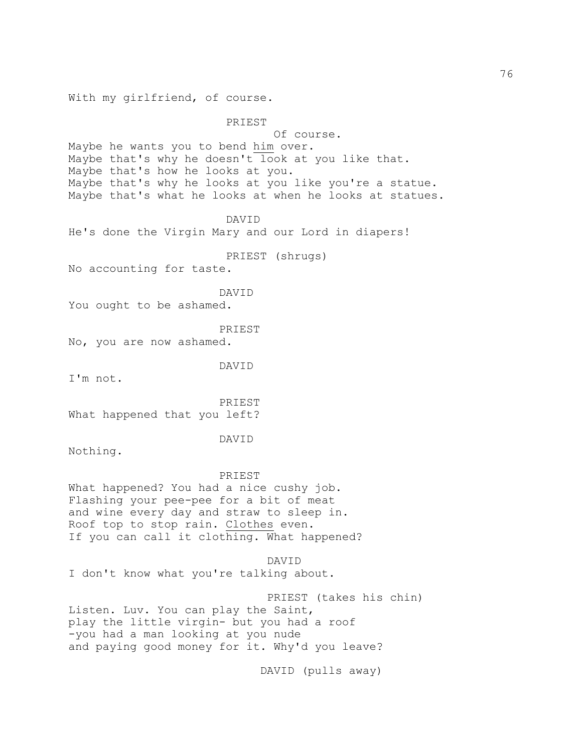With my girlfriend, of course.

PRIEST

 Of course. Maybe he wants you to bend him over. Maybe that's why he doesn't look at you like that. Maybe that's how he looks at you. Maybe that's why he looks at you like you're a statue. Maybe that's what he looks at when he looks at statues.

DAVID

He's done the Virgin Mary and our Lord in diapers!

PRIEST (shrugs)

No accounting for taste.

DAVID

You ought to be ashamed.

PRIEST

No, you are now ashamed.

DAVID

I'm not.

 PRIEST What happened that you left?

DAVID

Nothing.

 PRIEST What happened? You had a nice cushy job.

Flashing your pee-pee for a bit of meat and wine every day and straw to sleep in. Roof top to stop rain. Clothes even. If you can call it clothing. What happened?

DAVID

I don't know what you're talking about.

 PRIEST (takes his chin) Listen. Luv. You can play the Saint, play the little virgin- but you had a roof -you had a man looking at you nude and paying good money for it. Why'd you leave?

DAVID (pulls away)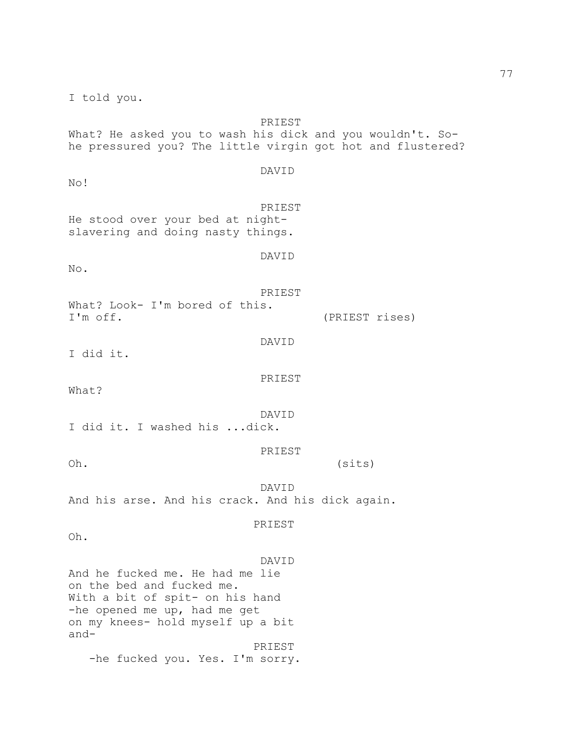I told you. PRIEST What? He asked you to wash his dick and you wouldn't. Sohe pressured you? The little virgin got hot and flustered? DAVID No! PRIEST He stood over your bed at nightslavering and doing nasty things. DAVID No. PRIEST What? Look- I'm bored of this. I'm off. (PRIEST rises) DAVID I did it. PRIEST What? DAVID I did it. I washed his ...dick. PRIEST Oh. (sits) DAVID And his arse. And his crack. And his dick again. PRIEST Oh. DAVID And he fucked me. He had me lie on the bed and fucked me. With a bit of spit- on his hand -he opened me up, had me get on my knees- hold myself up a bit and- PRIEST -he fucked you. Yes. I'm sorry.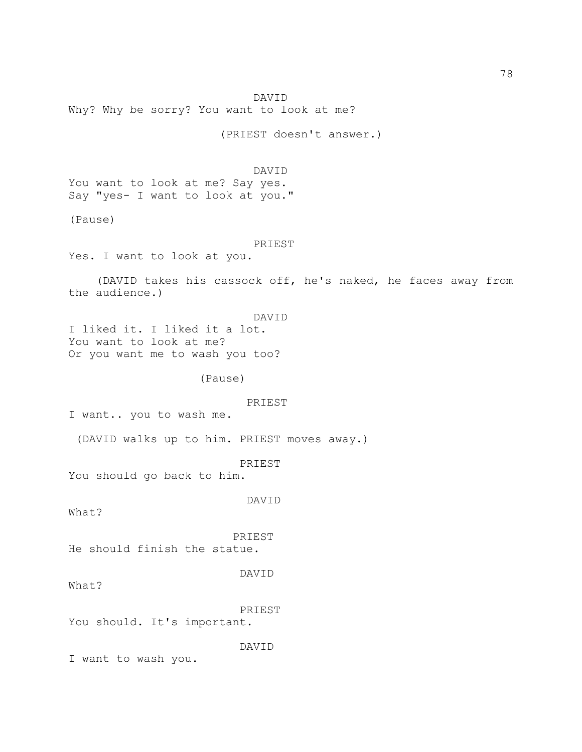DAVID Why? Why be sorry? You want to look at me? (PRIEST doesn't answer.) DAVID You want to look at me? Say yes. Say "yes- I want to look at you." (Pause) PRIEST Yes. I want to look at you. (DAVID takes his cassock off, he's naked, he faces away from the audience.) DAVID I liked it. I liked it a lot. You want to look at me? Or you want me to wash you too? (Pause) PRIEST I want.. you to wash me. (DAVID walks up to him. PRIEST moves away.) PRIEST You should go back to him. DAVID What? PRIEST He should finish the statue. DAVID What? PRIEST You should. It's important. DAVID I want to wash you.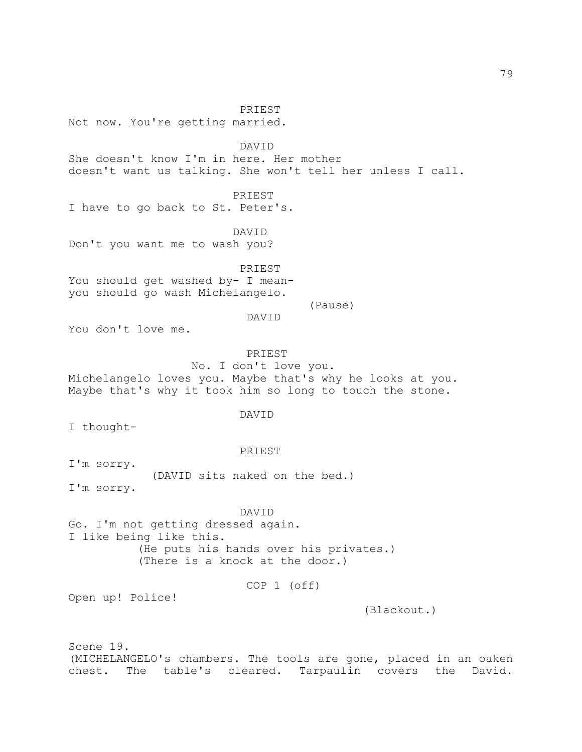PRIEST Not now. You're getting married. DAVID She doesn't know I'm in here. Her mother doesn't want us talking. She won't tell her unless I call. PRIEST I have to go back to St. Peter's. DAVID Don't you want me to wash you? PRIEST You should get washed by- I meanyou should go wash Michelangelo. (Pause) DAVID You don't love me. PRIEST No. I don't love you. Michelangelo loves you. Maybe that's why he looks at you. Maybe that's why it took him so long to touch the stone. DAVID I thought- PRIEST I'm sorry. (DAVID sits naked on the bed.) I'm sorry. DAVID Go. I'm not getting dressed again. I like being like this. (He puts his hands over his privates.) (There is a knock at the door.) COP 1 (off) Open up! Police! (Blackout.) Scene 19.

(MICHELANGELO's chambers. The tools are gone, placed in an oaken chest. The table's cleared. Tarpaulin covers the David.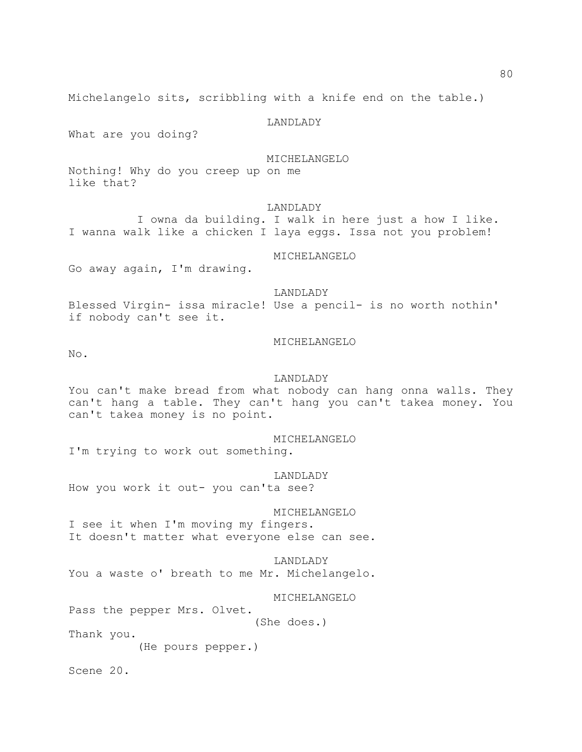Michelangelo sits, scribbling with a knife end on the table.)

#### LANDLADY

What are you doing?

## MICHELANGELO

Nothing! Why do you creep up on me like that?

### LANDLADY

 I owna da building. I walk in here just a how I like. I wanna walk like a chicken I laya eggs. Issa not you problem!

## MICHELANGELO

Go away again, I'm drawing.

#### LANDLADY

Blessed Virgin- issa miracle! Use a pencil- is no worth nothin' if nobody can't see it.

#### MICHELANGELO

No.

#### LANDLADY

You can't make bread from what nobody can hang onna walls. They can't hang a table. They can't hang you can't takea money. You can't takea money is no point.

MICHELANGELO

I'm trying to work out something.

 LANDLADY How you work it out- you can'ta see?

### MICHELANGELO

I see it when I'm moving my fingers. It doesn't matter what everyone else can see.

 LANDLADY You a waste o' breath to me Mr. Michelangelo.

MICHELANGELO

Pass the pepper Mrs. Olvet.

(She does.)

Thank you.

(He pours pepper.)

Scene 20.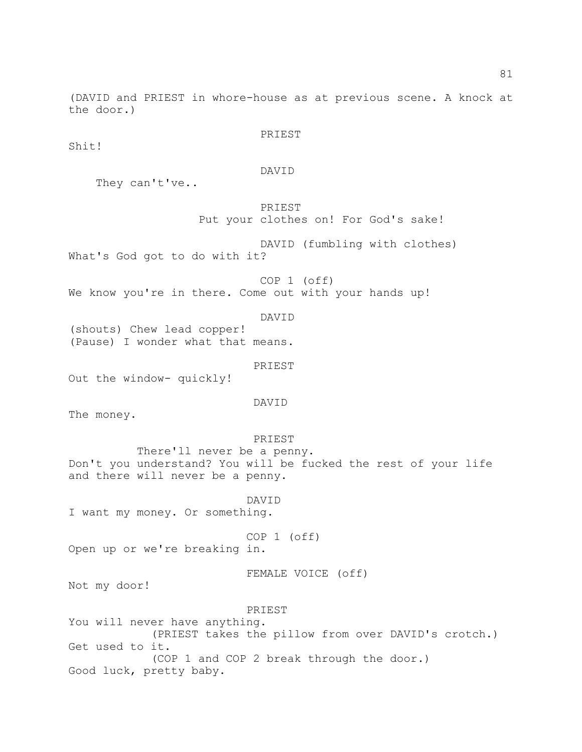(DAVID and PRIEST in whore-house as at previous scene. A knock at the door.)

PRIEST

Shit!

DAVID

They can't've..

 PRIEST Put your clothes on! For God's sake!

DAVID (fumbling with clothes)

What's God got to do with it?

 COP 1 (off) We know you're in there. Come out with your hands up!

DAVID

(shouts) Chew lead copper! (Pause) I wonder what that means.

 PRIEST Out the window- quickly!

DAVID

The money.

## PRIEST

 There'll never be a penny. Don't you understand? You will be fucked the rest of your life and there will never be a penny.

DAVID

I want my money. Or something.

COP 1 (off)

Open up or we're breaking in.

FEMALE VOICE (off)

Not my door!

PRIEST

You will never have anything. (PRIEST takes the pillow from over DAVID's crotch.) Get used to it. (COP 1 and COP 2 break through the door.) Good luck, pretty baby.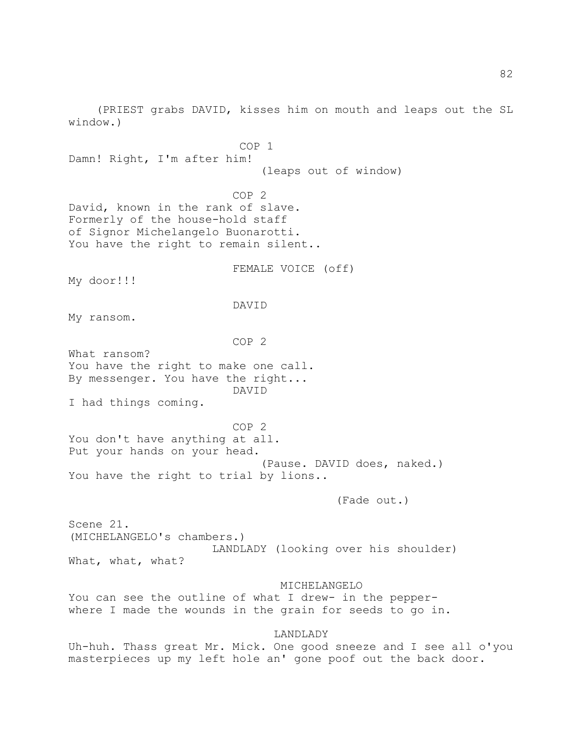(PRIEST grabs DAVID, kisses him on mouth and leaps out the SL window.)

 COP 1 Damn! Right, I'm after him! (leaps out of window) COP 2 David, known in the rank of slave. Formerly of the house-hold staff of Signor Michelangelo Buonarotti. You have the right to remain silent.. FEMALE VOICE (off) My door!!! DAVID My ransom. COP 2 What ransom? You have the right to make one call. By messenger. You have the right... DAVID I had things coming. COP 2 You don't have anything at all. Put your hands on your head. (Pause. DAVID does, naked.) You have the right to trial by lions.. (Fade out.) Scene 21. (MICHELANGELO's chambers.) LANDLADY (looking over his shoulder) What, what, what? MICHELANGELO You can see the outline of what I drew- in the pepperwhere I made the wounds in the grain for seeds to go in. LANDLADY Uh-huh. Thass great Mr. Mick. One good sneeze and I see all o'you

masterpieces up my left hole an' gone poof out the back door.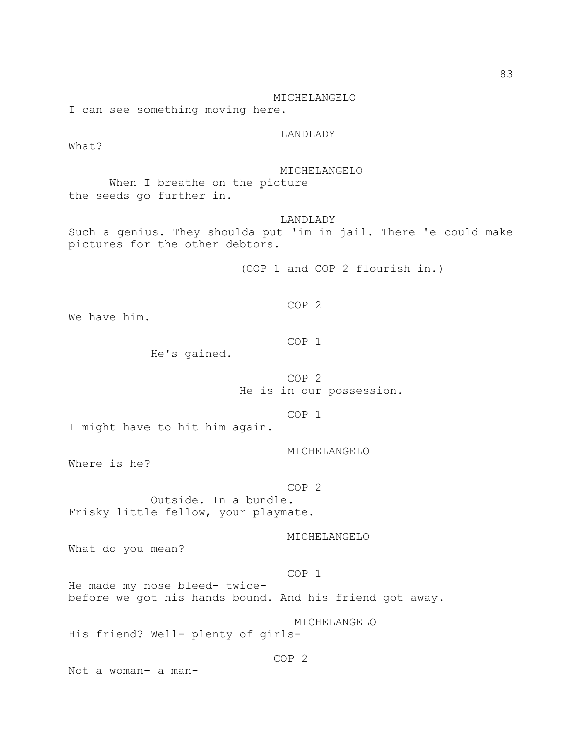MICHELANGELO I can see something moving here. LANDLADY What? MICHELANGELO When I breathe on the picture the seeds go further in. LANDLADY Such a genius. They shoulda put 'im in jail. There 'e could make pictures for the other debtors. (COP 1 and COP 2 flourish in.) COP 2 We have him. COP 1 He's gained. COP 2 He is in our possession. COP 1 I might have to hit him again. MICHELANGELO Where is he? COP 2 Outside. In a bundle. Frisky little fellow, your playmate. MICHELANGELO What do you mean? COP 1 He made my nose bleed- twicebefore we got his hands bound. And his friend got away. MICHELANGELO His friend? Well- plenty of girls- COP 2 Not a woman- a man-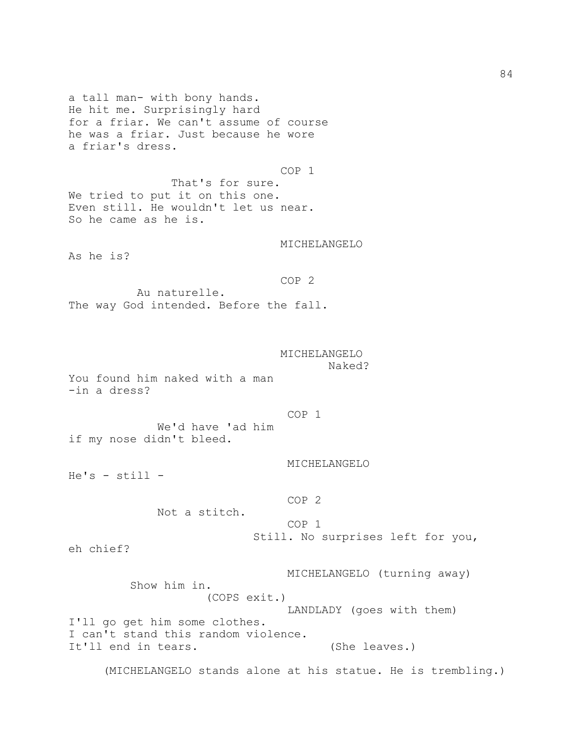a tall man- with bony hands. He hit me. Surprisingly hard for a friar. We can't assume of course he was a friar. Just because he wore a friar's dress.

 COP 1 That's for sure. We tried to put it on this one. Even still. He wouldn't let us near. So he came as he is.

MICHELANGELO

As he is?

COP 2

 Au naturelle. The way God intended. Before the fall.

## MICHELANGELO Naked?

You found him naked with a man -in a dress?

COP 1

 We'd have 'ad him if my nose didn't bleed.

MICHELANGELO

He's - still -

COP 2

Not a stitch.

COP 1

Still. No surprises left for you,

eh chief?

 MICHELANGELO (turning away) Show him in. (COPS exit.) LANDLADY (goes with them) I'll go get him some clothes. I can't stand this random violence. It'll end in tears. (She leaves.)

(MICHELANGELO stands alone at his statue. He is trembling.)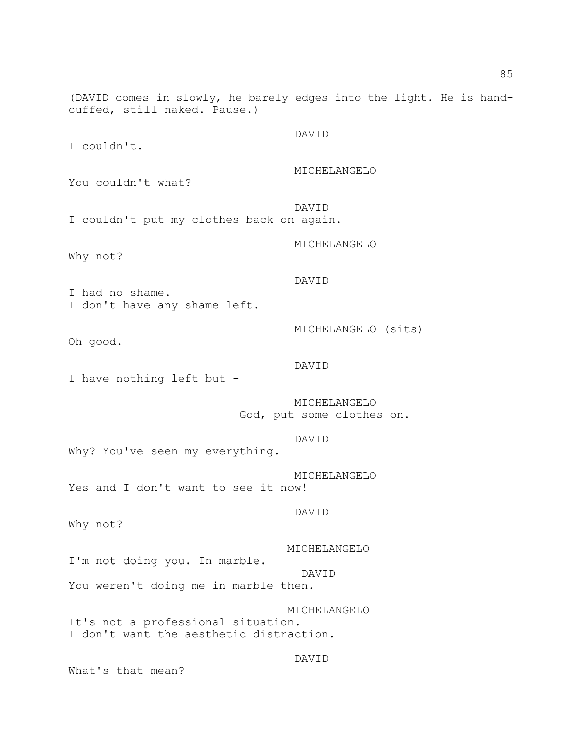(DAVID comes in slowly, he barely edges into the light. He is handcuffed, still naked. Pause.) DAVID I couldn't. MICHELANGELO You couldn't what? DAVID I couldn't put my clothes back on again. MICHELANGELO Why not? DAVID I had no shame. I don't have any shame left. MICHELANGELO (sits) Oh good. DAVID I have nothing left but - MICHELANGELO God, put some clothes on. DAVID Why? You've seen my everything. MICHELANGELO Yes and I don't want to see it now! DAVID Why not? MICHELANGELO I'm not doing you. In marble. DAVID You weren't doing me in marble then. MICHELANGELO It's not a professional situation. I don't want the aesthetic distraction. DAVID

What's that mean?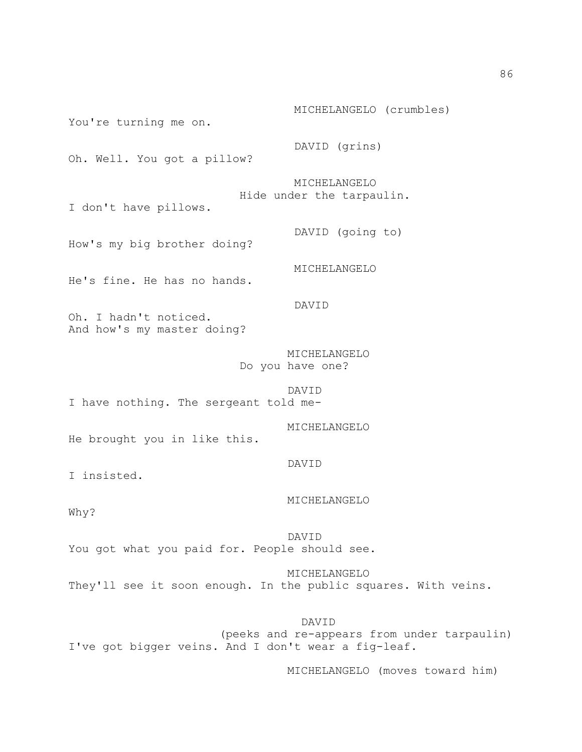MICHELANGELO (crumbles) You're turning me on. DAVID (grins) Oh. Well. You got a pillow? MICHELANGELO Hide under the tarpaulin. I don't have pillows. DAVID (going to) How's my big brother doing? MICHELANGELO He's fine. He has no hands. DAVID Oh. I hadn't noticed. And how's my master doing? MICHELANGELO Do you have one? DAVID I have nothing. The sergeant told me- MICHELANGELO He brought you in like this. DAVID I insisted. MICHELANGELO Why? DAVID You got what you paid for. People should see. MICHELANGELO They'll see it soon enough. In the public squares. With veins.

 DAVID (peeks and re-appears from under tarpaulin) I've got bigger veins. And I don't wear a fig-leaf.

MICHELANGELO (moves toward him)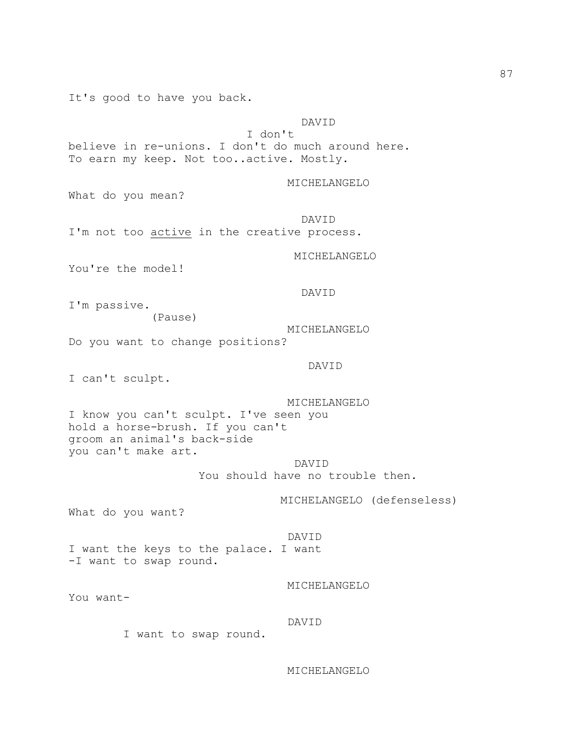It's good to have you back.

# DAVID

 I don't believe in re-unions. I don't do much around here. To earn my keep. Not too..active. Mostly.

MICHELANGELO

What do you mean?

 DAVID I'm not too active in the creative process.

MICHELANGELO

You're the model!

DAVID

I'm passive. (Pause)

 MICHELANGELO Do you want to change positions?

DAVID

I can't sculpt.

 MICHELANGELO I know you can't sculpt. I've seen you hold a horse-brush. If you can't groom an animal's back-side you can't make art.

 DAVID You should have no trouble then.

MICHELANGELO (defenseless)

What do you want?

 DAVID I want the keys to the palace. I want -I want to swap round.

MICHELANGELO

You want-

DAVID

I want to swap round.

MICHELANGELO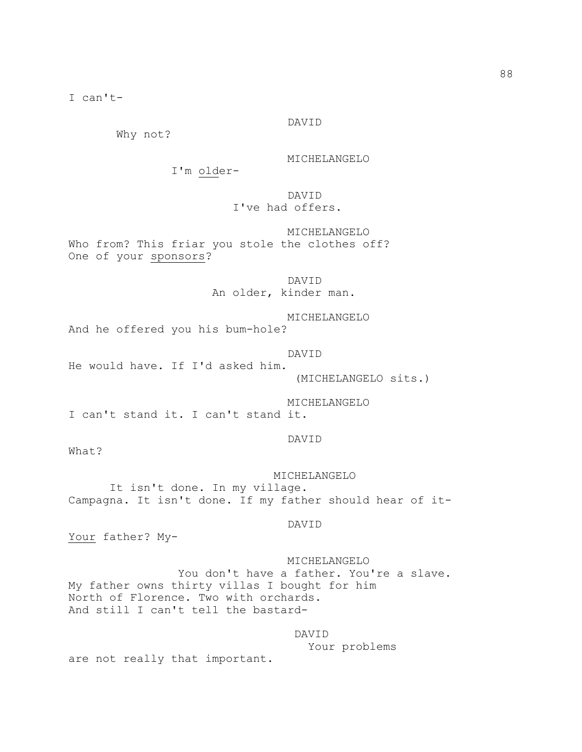I can't-

### DAVID

Why not?

MICHELANGELO

I'm older-

DAVID

# I've had offers.

 MICHELANGELO Who from? This friar you stole the clothes off? One of your sponsors?

> DAVID An older, kinder man.

 MICHELANGELO And he offered you his bum-hole?

 DAVID He would have. If I'd asked him. (MICHELANGELO sits.)

MICHELANGELO

I can't stand it. I can't stand it.

## DAVID

What?

 MICHELANGELO It isn't done. In my village. Campagna. It isn't done. If my father should hear of it-

#### DAVID

Your father? My-

 MICHELANGELO You don't have a father. You're a slave. My father owns thirty villas I bought for him North of Florence. Two with orchards. And still I can't tell the bastard-

## DAVID

Your problems

are not really that important.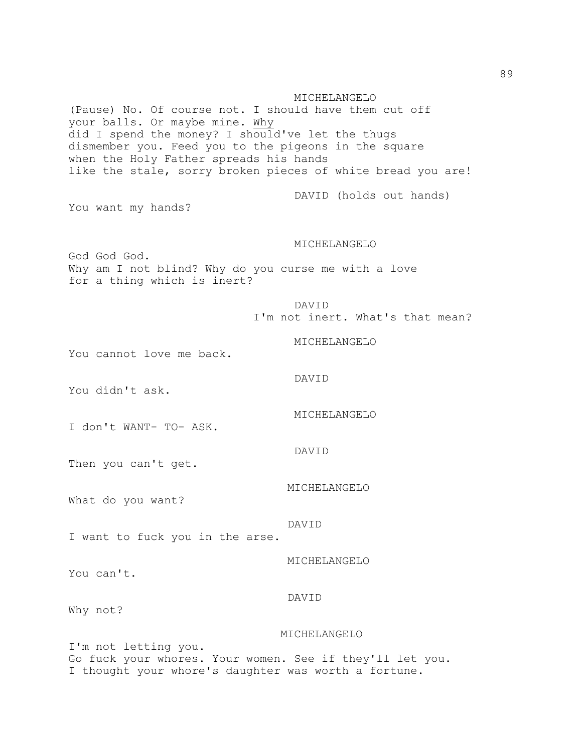MICHELANGELO (Pause) No. Of course not. I should have them cut off your balls. Or maybe mine. Why did I spend the money? I should've let the thugs dismember you. Feed you to the pigeons in the square when the Holy Father spreads his hands like the stale, sorry broken pieces of white bread you are! DAVID (holds out hands) You want my hands? MICHELANGELO God God God. Why am I not blind? Why do you curse me with a love for a thing which is inert? DAVID I'm not inert. What's that mean? MICHELANGELO You cannot love me back. DAVID You didn't ask. MICHELANGELO I don't WANT- TO- ASK. DAVID Then you can't get. MICHELANGELO What do you want? DAVID I want to fuck you in the arse. MICHELANGELO You can't. DAVID Why not? MICHELANGELO I'm not letting you. Go fuck your whores. Your women. See if they'll let you. I thought your whore's daughter was worth a fortune.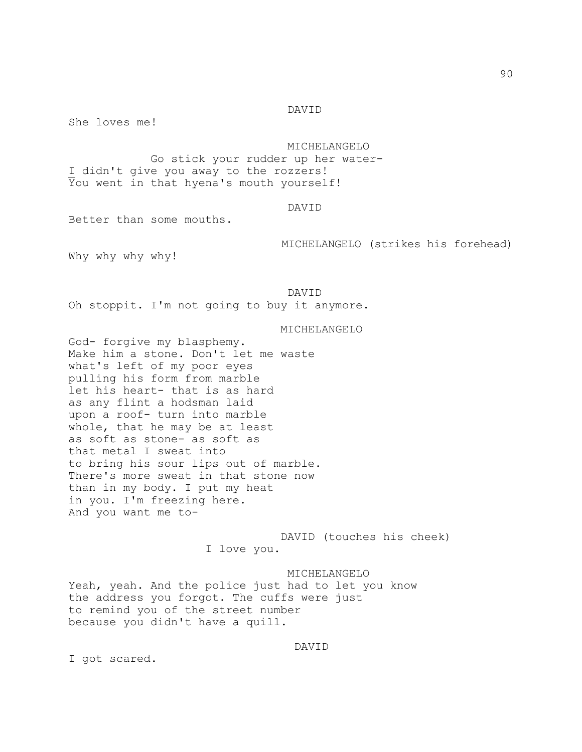#### DAVID

She loves me!

 MICHELANGELO Go stick your rudder up her water-I didn't give you away to the rozzers! You went in that hyena's mouth yourself!

#### DAVID

Better than some mouths.

MICHELANGELO (strikes his forehead)

Why why why why!

 DAVID Oh stoppit. I'm not going to buy it anymore.

### MICHELANGELO

God- forgive my blasphemy. Make him a stone. Don't let me waste what's left of my poor eyes pulling his form from marble let his heart- that is as hard as any flint a hodsman laid upon a roof- turn into marble whole, that he may be at least as soft as stone- as soft as that metal I sweat into to bring his sour lips out of marble. There's more sweat in that stone now than in my body. I put my heat in you. I'm freezing here. And you want me to-

> DAVID (touches his cheek) I love you.

 MICHELANGELO Yeah, yeah. And the police just had to let you know the address you forgot. The cuffs were just to remind you of the street number because you didn't have a quill.

# DAVID

I got scared.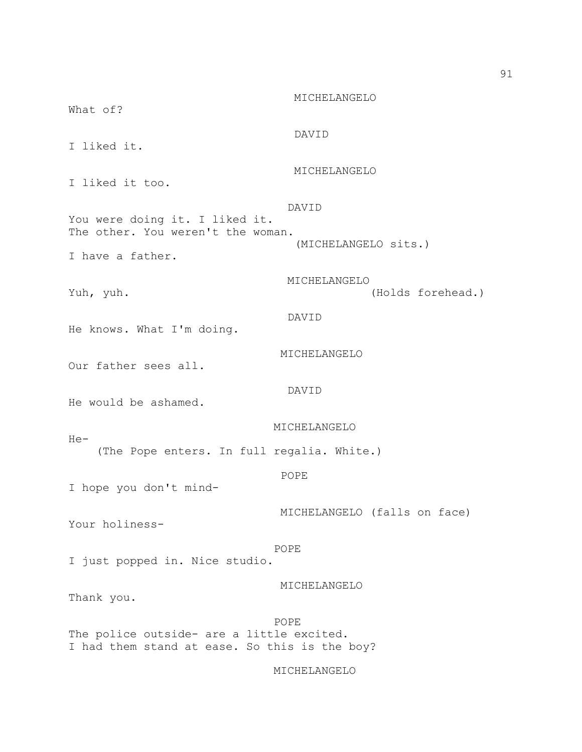MICHELANGELO What of? DAVID I liked it. MICHELANGELO I liked it too. DAVID You were doing it. I liked it. The other. You weren't the woman. (MICHELANGELO sits.) I have a father. MICHELANGELO Yuh, yuh. (Holds forehead.) DAVID He knows. What I'm doing. MICHELANGELO Our father sees all. DAVID He would be ashamed. MICHELANGELO He- (The Pope enters. In full regalia. White.) **POPE** I hope you don't mind- MICHELANGELO (falls on face) Your holiness- POPE I just popped in. Nice studio. MICHELANGELO Thank you. **POPE** The police outside- are a little excited. I had them stand at ease. So this is the boy?

MICHELANGELO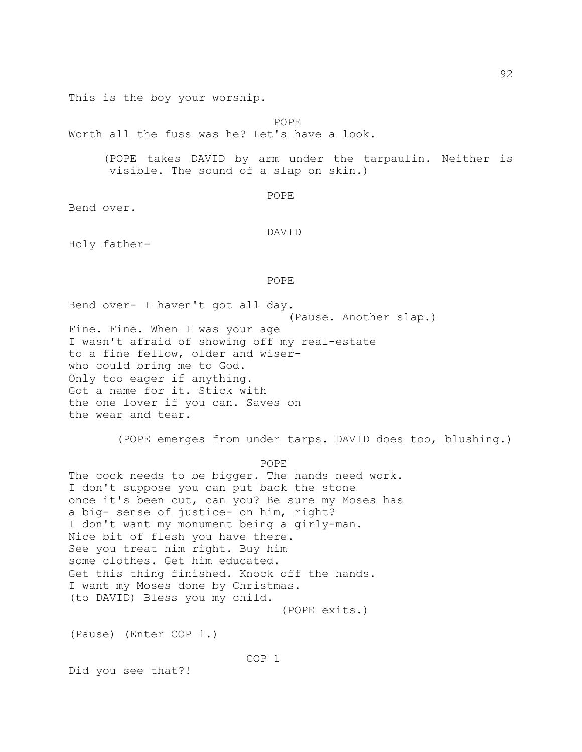This is the boy your worship.

**POPE** 

Worth all the fuss was he? Let's have a look.

 (POPE takes DAVID by arm under the tarpaulin. Neither is visible. The sound of a slap on skin.)

```
POPE<sup>P</sup>
```
Bend over.

```
 DAVID
```
Holy father-

# POPE<sup>P</sup>

Bend over- I haven't got all day. (Pause. Another slap.) Fine. Fine. When I was your age I wasn't afraid of showing off my real-estate to a fine fellow, older and wiserwho could bring me to God. Only too eager if anything. Got a name for it. Stick with the one lover if you can. Saves on the wear and tear.

(POPE emerges from under tarps. DAVID does too, blushing.)

**POPE** 

The cock needs to be bigger. The hands need work. I don't suppose you can put back the stone once it's been cut, can you? Be sure my Moses has a big- sense of justice- on him, right? I don't want my monument being a girly-man. Nice bit of flesh you have there. See you treat him right. Buy him some clothes. Get him educated. Get this thing finished. Knock off the hands. I want my Moses done by Christmas. (to DAVID) Bless you my child. (POPE exits.)

(Pause) (Enter COP 1.)

COP 1

Did you see that?!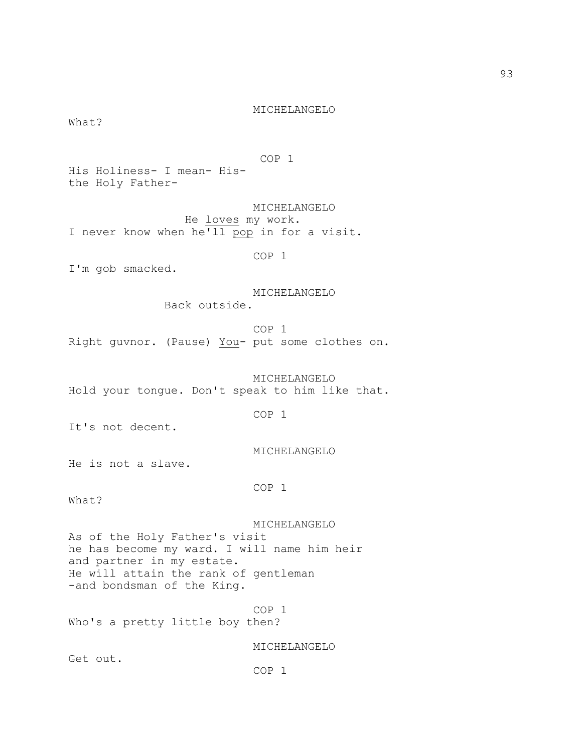COP 1 His Holiness- I mean- His- He loves my work. COP 1 Back outside. COP 1 COP 1 COP 1 COP 1 Who's a pretty little boy then? MICHELANGELO

the Holy Father-

 MICHELANGELO I never know when he<sup>'ll</sup> pop in for a visit.

I'm gob smacked.

What?

MICHELANGELO

MICHELANGELO

Right guvnor. (Pause) You- put some clothes on.

 MICHELANGELO Hold your tongue. Don't speak to him like that.

It's not decent.

MICHELANGELO

He is not a slave.

What?

MICHELANGELO

As of the Holy Father's visit he has become my ward. I will name him heir and partner in my estate. He will attain the rank of gentleman -and bondsman of the King.

Get out.

COP 1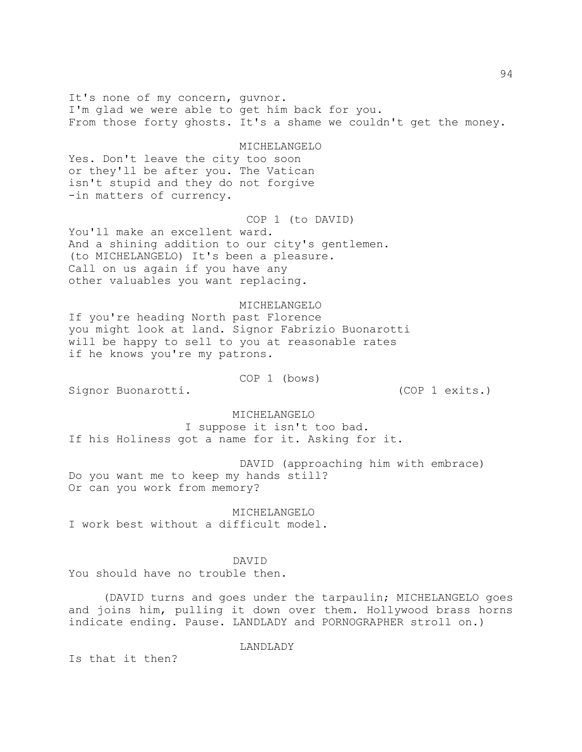It's none of my concern, guvnor. I'm glad we were able to get him back for you. From those forty ghosts. It's a shame we couldn't get the money. MICHELANGELO Yes. Don't leave the city too soon or they'll be after you. The Vatican isn't stupid and they do not forgive -in matters of currency. COP 1 (to DAVID) You'll make an excellent ward. And a shining addition to our city's gentlemen. (to MICHELANGELO) It's been a pleasure. Call on us again if you have any other valuables you want replacing. MICHELANGELO If you're heading North past Florence you might look at land. Signor Fabrizio Buonarotti will be happy to sell to you at reasonable rates if he knows you're my patrons. COP 1 (bows) Signor Buonarotti. (COP 1 exits.) MICHELANGELO I suppose it isn't too bad. If his Holiness got a name for it. Asking for it. DAVID (approaching him with embrace) Do you want me to keep my hands still? Or can you work from memory? MICHELANGELO I work best without a difficult model. DAVID You should have no trouble then. (DAVID turns and goes under the tarpaulin; MICHELANGELO goes and joins him, pulling it down over them. Hollywood brass horns indicate ending. Pause. LANDLADY and PORNOGRAPHER stroll on.) LANDLADY

Is that it then?